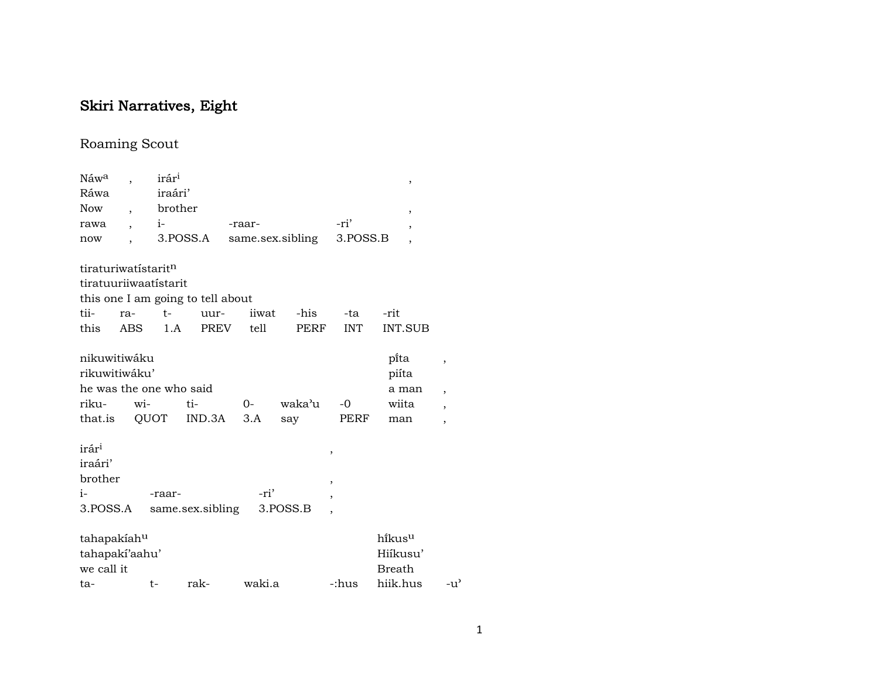## Skiri Narratives, Eight

## Roaming Scout

| Náw <sup>a</sup>    |                          | irár <sup>i</sup>       |                                   |                           |                  |                          | $\, ,$                   |                          |
|---------------------|--------------------------|-------------------------|-----------------------------------|---------------------------|------------------|--------------------------|--------------------------|--------------------------|
| Ráwa                |                          | iraári'                 |                                   |                           |                  |                          |                          |                          |
| Now                 | $\overline{\phantom{a}}$ | brother                 |                                   |                           |                  |                          | $\,$                     |                          |
| rawa                | ,                        | $i-$                    |                                   | -raar-                    |                  | -ri'                     | $\overline{\phantom{a}}$ |                          |
| now                 |                          |                         | 3.POSS.A                          |                           | same.sex.sibling | 3.POSS.B                 | $\overline{\phantom{a}}$ |                          |
| tiraturiwatístaritn |                          |                         |                                   |                           |                  |                          |                          |                          |
|                     |                          | tiratuuriiwaatistarit   |                                   |                           |                  |                          |                          |                          |
|                     |                          |                         | this one I am going to tell about |                           |                  |                          |                          |                          |
| tii-                | ra-                      | $t-$                    | uur-                              | iiwat                     | -his             | -ta                      | -rit                     |                          |
| this                | ABS.                     | 1.A                     | PREV                              | tell                      | PERF             | <b>INT</b>               | <b>INT.SUB</b>           |                          |
| nikuwitiwáku        |                          |                         |                                   |                           |                  |                          | pita                     | ,                        |
| rikuwitiwáku'       |                          |                         |                                   |                           |                  |                          | piíta                    |                          |
|                     |                          | he was the one who said |                                   |                           |                  |                          | a man                    | $\overline{\phantom{a}}$ |
| riku-               |                          | wi-                     | ti-                               | $O-$                      | waka'u           | $-0$                     | wiita                    | $\overline{\phantom{a}}$ |
| that.is             |                          |                         | QUOT IND.3A                       | 3.A                       | say              | PERF                     | man                      | $\overline{ }$           |
| irár <sup>i</sup>   |                          |                         |                                   |                           |                  | ,                        |                          |                          |
| iraári'             |                          |                         |                                   |                           |                  |                          |                          |                          |
| brother             |                          |                         |                                   |                           |                  | $\overline{\phantom{a}}$ |                          |                          |
| $i-$                |                          | -raar-                  |                                   | -ri'                      |                  | $\overline{ }$           |                          |                          |
| 3.POSS.A            |                          |                         |                                   | same.sex.sibling 3.POSS.B |                  | $\overline{\phantom{a}}$ |                          |                          |
| tahapakiahu         |                          |                         |                                   |                           |                  |                          | hikusu                   |                          |
| tahapakí'aahu'      |                          |                         |                                   |                           |                  |                          | Hiíkusu'                 |                          |
| we call it          |                          |                         |                                   |                           |                  |                          | Breath                   |                          |
| ta-                 |                          | t-                      | rak-                              | waki.a                    |                  | -:hus                    | hiik.hus                 | -u'                      |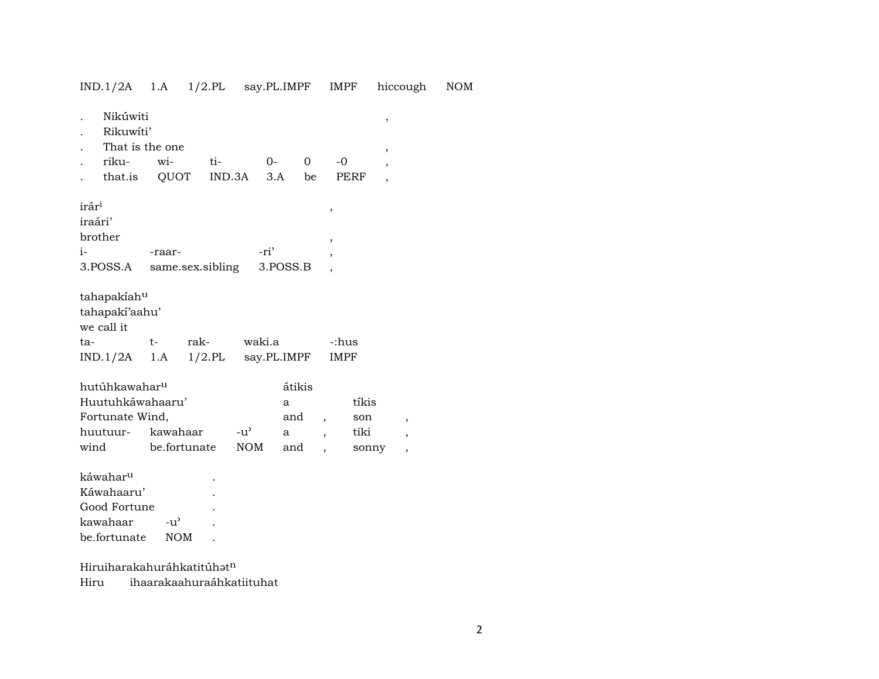|                                    | Nikúwiti<br>Rikuwíti'<br>That is the one<br>riku-<br>that.is QUOT              | wi-                      | ti-              | $O -$<br>IND.3A       | 3.A                            | $\Omega$<br>be                                       | -0<br><b>PERF</b>    | ,<br>,<br>$\overline{ }$      |  |
|------------------------------------|--------------------------------------------------------------------------------|--------------------------|------------------|-----------------------|--------------------------------|------------------------------------------------------|----------------------|-------------------------------|--|
| irár <sup>i</sup><br>iraári'<br>i- | brother<br>3.POSS.A                                                            | -raar-                   | same.sex.sibling | -ri'                  | 3.POSS.B                       |                                                      | ,<br>,               | $\overline{ }$                |  |
| ta-                                | tahapakiahu<br>tahapaki'aahu'<br>we call it<br>$IND.1/2A$ 1.A $1/2.PL$         | $t-$                     | rak-             | waki.a<br>say.PL.IMPF |                                |                                                      | -:hus<br><b>IMPF</b> |                               |  |
| wind                               | hutúhkawahar <sup>u</sup><br>Huutuhkáwahaaru'<br>Fortunate Wind,<br>huutuur-   | kawahaar<br>be.fortunate |                  | -น'<br><b>NOM</b>     | átikis<br>a<br>and<br>a<br>and | $\overline{\phantom{a}}$<br>$\overline{\phantom{a}}$ |                      | tíkis<br>son<br>tiki<br>sonny |  |
|                                    | káwahar <sup>u</sup><br>Káwahaaru'<br>Good Fortune<br>kawahaar<br>be.fortunate | -u'<br><b>NOM</b>        |                  |                       |                                |                                                      |                      |                               |  |

IND.1/2A 1.A 1/2.PL say.PL.IMPF IMPF hiccough NOM

Hiruiharakahuráhkatitúh $\mathfrak{t}^n$ 

Hiru ihaarakaahuraáhkatiituhat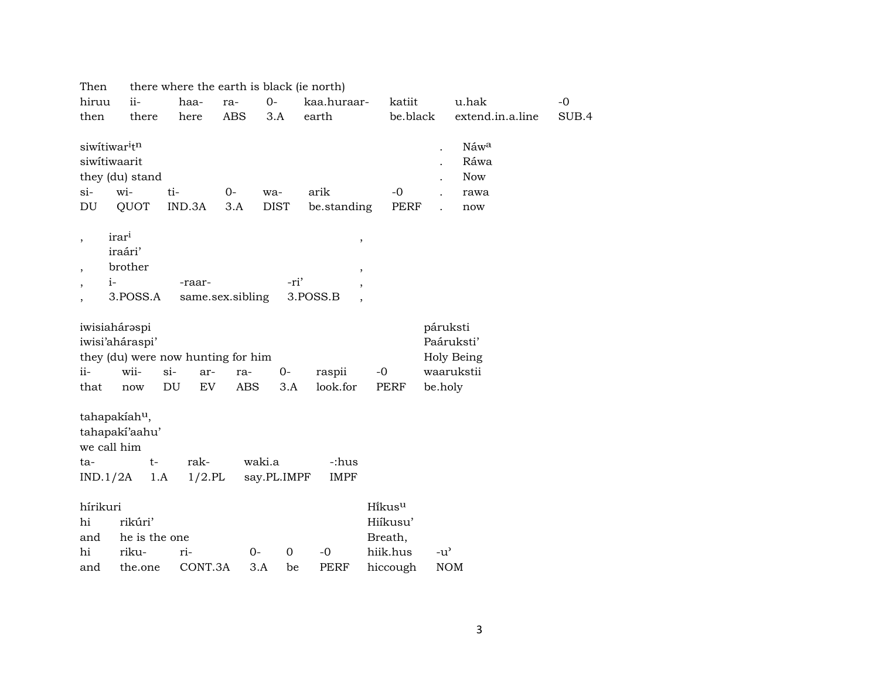| Then                                                                                              |                                              |                                                | there where the earth is black (ie north)               |                   |                                                                                  |                                                       |                      |                                           |       |
|---------------------------------------------------------------------------------------------------|----------------------------------------------|------------------------------------------------|---------------------------------------------------------|-------------------|----------------------------------------------------------------------------------|-------------------------------------------------------|----------------------|-------------------------------------------|-------|
| hiruu                                                                                             | ii-                                          | haa-                                           | $0 -$<br>ra-                                            |                   | kaa.huraar-                                                                      | katiit                                                |                      | u.hak                                     | $-0$  |
| then                                                                                              | there                                        | here                                           | <b>ABS</b>                                              | 3.A               | earth                                                                            | be.black                                              |                      | extend.in.a.line                          | SUB.4 |
| siwitiwar <sup>itn</sup><br>siwitiwaarit<br>they (du) stand<br>$si-$<br>DU                        | wi-<br>QUOT                                  | ti-<br>IND.3A                                  | $0-$<br>wa-<br>3.A                                      | <b>DIST</b>       | arik<br>be.standing                                                              | $-0$<br><b>PERF</b>                                   | $\ddot{\phantom{0}}$ | Náwa<br>Ráwa<br><b>Now</b><br>rawa<br>now |       |
| irari<br>$\overline{\phantom{a}}$<br>$\overline{\phantom{a}}$<br>$i-$<br>$\overline{\phantom{a}}$ | iraári'<br>brother<br>3.POSS.A               | -raar-                                         | same.sex.sibling                                        | -ri'              | $\, ,$<br>$\, ,$<br>$\overline{\phantom{a}}$<br>3.POSS.B<br>$\ddot{\phantom{0}}$ |                                                       |                      |                                           |       |
| iwisiahárəspi<br>iwisi'aháraspi'<br>ii-<br>that                                                   | wii-<br>$si-$<br>$\operatorname{now}$        | ar-<br>$\mathop{\rm DU}\nolimits$<br><b>EV</b> | they (du) were now hunting for him<br>ra-<br><b>ABS</b> | $0-$<br>3.A       | raspii<br>look.for                                                               | $-0$<br><b>PERF</b>                                   | páruksti<br>be.holy  | Paáruksti'<br>Holy Being<br>waarukstii    |       |
| tahapakiah <sup>u</sup> ,<br>tahapakí'aahu'<br>we call him<br>ta-<br>IND.1/2A                     | $t-$<br>1.A                                  | rak-<br>$1/2$ .PL                              | waki.a                                                  | say.PL.IMPF       | -:hus<br><b>IMPF</b>                                                             |                                                       |                      |                                           |       |
| hírikuri<br>hi<br>and<br>hi<br>and                                                                | rikúri'<br>he is the one<br>riku-<br>the.one | ri-<br>CONT.3A                                 | $0-$<br>3.A                                             | $\mathbf 0$<br>be | $-0$<br><b>PERF</b>                                                              | Hikusu<br>Hiíkusu'<br>Breath,<br>hiik.hus<br>hiccough | $-u^{\prime}$        | <b>NOM</b>                                |       |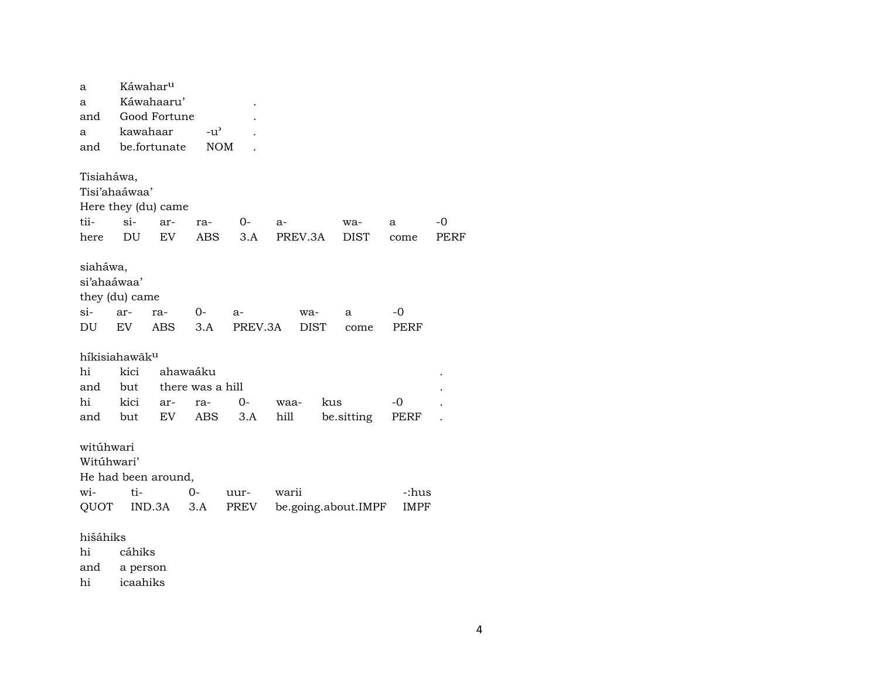| a                         | Káwahar <sup>u</sup> |                            |                  |         |             |                     |             |      |
|---------------------------|----------------------|----------------------------|------------------|---------|-------------|---------------------|-------------|------|
| a                         |                      | Káwahaaru'                 |                  |         |             |                     |             |      |
| and                       |                      | Good Fortune               |                  |         |             |                     |             |      |
| a                         | kawahaar             |                            | $-u^{\prime}$    |         |             |                     |             |      |
| and                       |                      | be.fortunate               | <b>NOM</b>       |         |             |                     |             |      |
|                           |                      |                            |                  |         |             |                     |             |      |
| Tisiaháwa,                |                      |                            |                  |         |             |                     |             |      |
| Tisi'ahaáwaa'             |                      |                            |                  |         |             |                     |             |      |
|                           |                      | Here they (du) came        |                  |         |             |                     |             |      |
| tii-                      | $si-$                | ar-                        | ra-              | 0-      | a-          | wa-                 | a           | $-0$ |
| here                      | DU                   | EV                         | <b>ABS</b>       | 3.A     | PREV.3A     | <b>DIST</b>         | come        | PERF |
|                           |                      |                            |                  |         |             |                     |             |      |
| siaháwa,                  |                      |                            |                  |         |             |                     |             |      |
| si'ahaáwaa'               |                      |                            |                  |         |             |                     |             |      |
| they (du) came            |                      |                            |                  |         |             |                     |             |      |
| $\sin$                    | ar-                  | ra-                        | 0-               | a-      | wa-         | a                   | -0          |      |
| DU                        | EV                   | <b>ABS</b>                 | 3.A              | PREV.3A | <b>DIST</b> | come                | PERF        |      |
|                           |                      |                            |                  |         |             |                     |             |      |
| híkisiahawãk <sup>u</sup> |                      |                            |                  |         |             |                     |             |      |
| hi                        | kici                 |                            | ahawaáku         |         |             |                     |             |      |
| and                       | but                  |                            | there was a hill |         |             |                     |             |      |
| hi                        | kici                 | ar-                        | ra-              | 0-      | waa-        | kus                 | -0          |      |
| and                       | but                  | $\mathop{\rm EV}\nolimits$ | ABS              | 3.A     | hill        | be sitting          | PERF        |      |
|                           |                      |                            |                  |         |             |                     |             |      |
| witúhwari                 |                      |                            |                  |         |             |                     |             |      |
| Witúhwari'                |                      |                            |                  |         |             |                     |             |      |
|                           |                      | He had been around,        |                  |         |             |                     |             |      |
| wi-                       | ti-                  |                            | 0-               | uur-    | warii       |                     | -:hus       |      |
| QUOT                      |                      | IND.3A                     | 3.A              | PREV    |             | be.going.about.IMPF | <b>IMPF</b> |      |
|                           |                      |                            |                  |         |             |                     |             |      |
| hišáhiks                  |                      |                            |                  |         |             |                     |             |      |
| hi                        | cáhiks               |                            |                  |         |             |                     |             |      |
| and                       | a person             |                            |                  |         |             |                     |             |      |
| hi                        | icaahiks             |                            |                  |         |             |                     |             |      |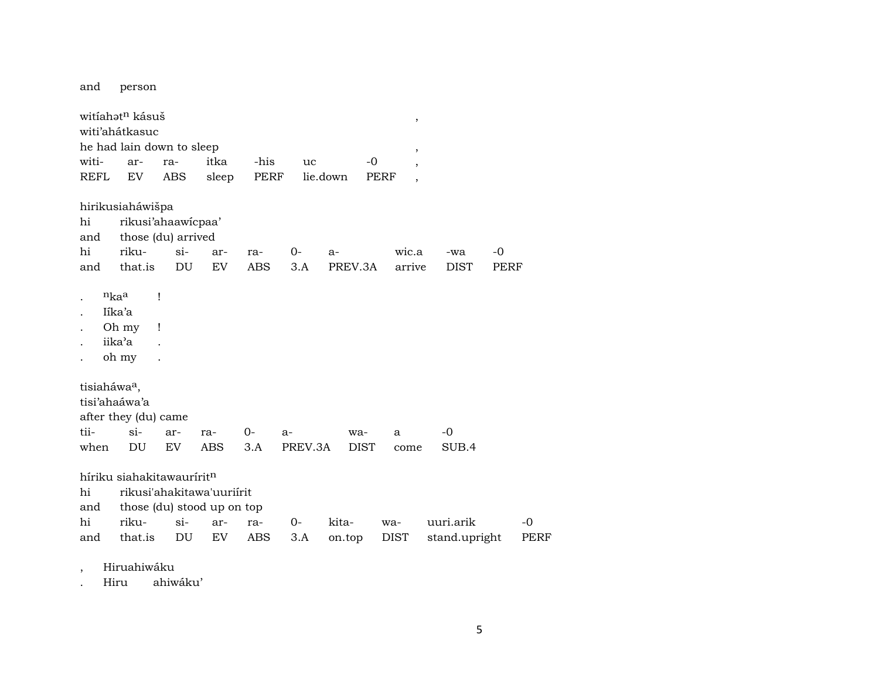and person

|                          | witíahət <sup>n</sup> kásuš              |        |       |      |         |             | $^\mathrm{^\mathrm{o}}$          |               |      |      |
|--------------------------|------------------------------------------|--------|-------|------|---------|-------------|----------------------------------|---------------|------|------|
|                          | witi'ahátkasuc                           |        |       |      |         |             |                                  |               |      |      |
|                          | he had lain down to sleep                |        |       |      |         |             | $\overline{\phantom{a}}$         |               |      |      |
| witi-                    | ar-                                      | ra-    | itka  | -his | uc      |             | $-0$                             |               |      |      |
| REFL                     | EV                                       | ABS    | sleep | PERF |         | lie.down    | PERF<br>$\overline{\phantom{a}}$ |               |      |      |
|                          | hirikusiaháwišpa                         |        |       |      |         |             |                                  |               |      |      |
| hi<br>and                | rikusi'ahaawicpaa'<br>those (du) arrived |        |       |      |         |             |                                  |               |      |      |
| hi                       | riku-                                    | $\sin$ | ar-   | ra-  | 0-      | $a-$        | wic.a                            | -wa           | -0   |      |
| and                      | that.is                                  | DU     | EV    | ABS  | 3.A     | PREV.3A     | arrive                           | <b>DIST</b>   | PERF |      |
| $\ddot{\phantom{0}}$     | $n_{ka}$<br>Ţ                            |        |       |      |         |             |                                  |               |      |      |
| $\ddot{\phantom{0}}$     | Iíka'a                                   |        |       |      |         |             |                                  |               |      |      |
| $\ddot{\phantom{0}}$     | Oh my<br>$\mathbf{I}$                    |        |       |      |         |             |                                  |               |      |      |
| $\ddot{\phantom{0}}$     | iika'a                                   |        |       |      |         |             |                                  |               |      |      |
|                          | oh my                                    |        |       |      |         |             |                                  |               |      |      |
| tisiaháwa <sup>a</sup> , |                                          |        |       |      |         |             |                                  |               |      |      |
|                          | tisi'ahaáwa'a                            |        |       |      |         |             |                                  |               |      |      |
|                          | after they (du) came                     |        |       |      |         |             |                                  |               |      |      |
| tii-                     | $\sin$                                   | ar-    | ra-   | 0-   | a-      | wa-         | $\mathbf{a}$                     | -0            |      |      |
| when                     | DU                                       | EV     | ABS   | 3.A  | PREV.3A | <b>DIST</b> | come                             | SUB.4         |      |      |
|                          | híriku siahakitawaurírit <sup>n</sup>    |        |       |      |         |             |                                  |               |      |      |
| hi                       | rikusi'ahakitawa'uuriírit                |        |       |      |         |             |                                  |               |      |      |
| and                      | those (du) stood up on top               |        |       |      |         |             |                                  |               |      |      |
| hi                       | riku-                                    | $\sin$ | ar-   | ra-  | $0-$    | kita-       | wa-                              | uuri.arik     |      | -0   |
| and                      | that.is                                  | DU     | EV    | ABS  | 3.A     | on.top      | DIST                             | stand.upright |      | PERF |

, Hiruahiwáku

. Hiru ahiwáku'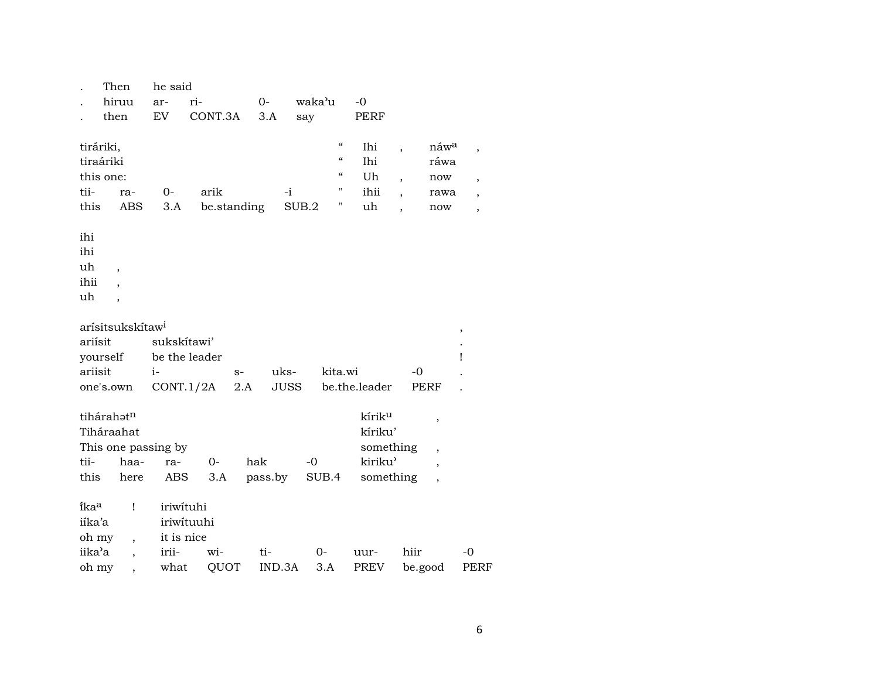|                                                             | Then                                                                  | he said     |               |             |               |                                                                                                                          |                                |                                                                             |                                                |                                                                                       |
|-------------------------------------------------------------|-----------------------------------------------------------------------|-------------|---------------|-------------|---------------|--------------------------------------------------------------------------------------------------------------------------|--------------------------------|-----------------------------------------------------------------------------|------------------------------------------------|---------------------------------------------------------------------------------------|
|                                                             | hiruu                                                                 | ar-         | ri-           | $O -$       |               | waka'u                                                                                                                   | $-0$                           |                                                                             |                                                |                                                                                       |
|                                                             | then                                                                  | <b>EV</b>   | CONT.3A       |             | 3.A           | say                                                                                                                      | PERF                           |                                                                             |                                                |                                                                                       |
| tiráriki,<br>tii-<br>this<br>ihi<br>ihi<br>uh<br>ihii<br>uh | tiraáriki<br>this one:<br>ra-<br>ABS<br>$\overline{\phantom{a}}$<br>, | 0-<br>3.A   | arik          | be.standing | $-i$<br>SUB.2 | $\boldsymbol{\mathcal{C}}$<br>$\boldsymbol{\zeta}\boldsymbol{\zeta}$<br>$\boldsymbol{\zeta}\boldsymbol{\zeta}$<br>Η<br>Ψ | Ihi<br>Ihi<br>Uh<br>ihii<br>uh | ,<br>$\overline{\phantom{a}}$<br>$\overline{\phantom{a}}$<br>$\overline{ }$ | náw <sup>a</sup><br>ráwa<br>now<br>rawa<br>now | $\overline{\phantom{a}}$<br>$\overline{\phantom{a}}$<br>$\overline{\phantom{a}}$<br>, |
|                                                             |                                                                       |             |               |             |               |                                                                                                                          |                                |                                                                             |                                                |                                                                                       |
|                                                             | arísitsukskítaw <sup>i</sup>                                          |             |               |             |               |                                                                                                                          |                                |                                                                             | $\, ,$                                         |                                                                                       |
| ariísit                                                     |                                                                       | sukskítawi' |               |             |               |                                                                                                                          |                                |                                                                             |                                                |                                                                                       |
|                                                             | yourself                                                              |             | be the leader |             |               |                                                                                                                          |                                |                                                                             | Ţ                                              |                                                                                       |
| ariisit                                                     |                                                                       | $i-$        |               | $S-$        | uks-          | kita.wi                                                                                                                  |                                | $-0$                                                                        |                                                |                                                                                       |
|                                                             | one's.own                                                             |             | CONT.1/2A     | 2.A         | <b>JUSS</b>   |                                                                                                                          | be.the.leader                  | <b>PERF</b>                                                                 |                                                |                                                                                       |
|                                                             |                                                                       |             |               |             |               |                                                                                                                          |                                |                                                                             |                                                |                                                                                       |
|                                                             | tihárahatn                                                            |             |               |             |               |                                                                                                                          | kírik <sup>u</sup>             | $\,$                                                                        |                                                |                                                                                       |
|                                                             | Tiháraahat                                                            |             |               |             |               |                                                                                                                          | kíriku'                        |                                                                             |                                                |                                                                                       |
|                                                             | This one passing by                                                   |             |               |             |               |                                                                                                                          | something                      | $\ddot{\phantom{0}}$                                                        |                                                |                                                                                       |
| tii-                                                        | haa-                                                                  | ra-         | $0-$          | hak         |               | $-0$                                                                                                                     | kiriku'                        | $\overline{ }$                                                              |                                                |                                                                                       |
| this                                                        | here                                                                  | ABS         | 3.A           |             | pass.by       | SUB.4                                                                                                                    | something                      |                                                                             |                                                |                                                                                       |
| ika <sup>a</sup>                                            | $\mathbf{I}$                                                          | iriwituhi   |               |             |               |                                                                                                                          |                                |                                                                             |                                                |                                                                                       |
| iíka'a                                                      |                                                                       |             | iriwituuhi    |             |               |                                                                                                                          |                                |                                                                             |                                                |                                                                                       |
| oh my                                                       | $\overline{ }$ ,                                                      | it is nice  |               |             |               |                                                                                                                          |                                |                                                                             |                                                |                                                                                       |
| iika'a                                                      | $\overline{\phantom{a}}$                                              | irii-       | wi-           | ti-         |               | $0-$                                                                                                                     | uur-                           | hiir                                                                        | $-0$                                           |                                                                                       |
| oh my                                                       |                                                                       | what        | QUOT          |             | IND.3A        | 3.A                                                                                                                      | PREV                           | be.good                                                                     |                                                | PERF                                                                                  |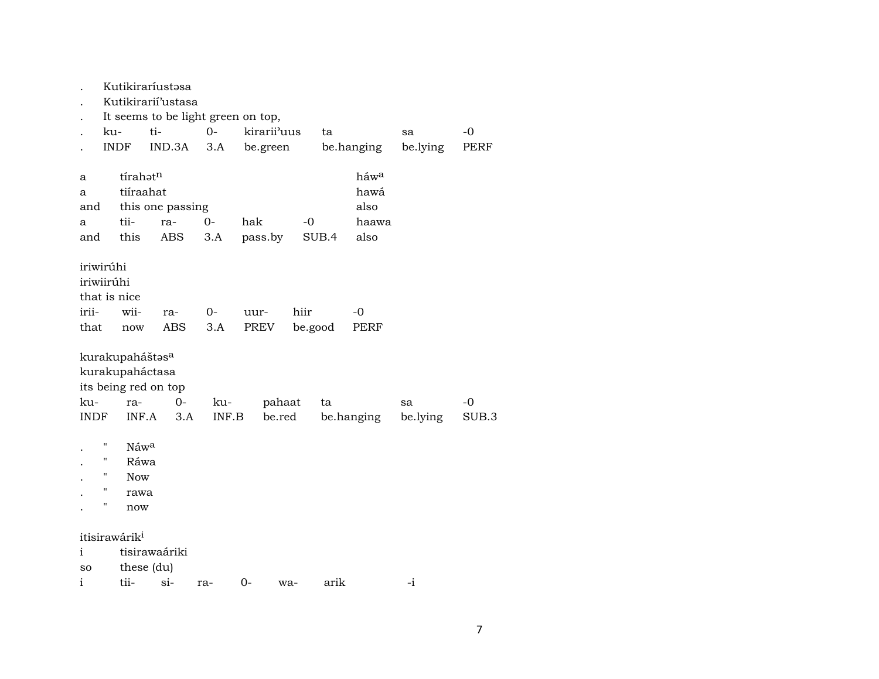|                                                          |                    |                             | Kutikiraríustəsa     |       |     |             |         |       |            |          |       |  |  |
|----------------------------------------------------------|--------------------|-----------------------------|----------------------|-------|-----|-------------|---------|-------|------------|----------|-------|--|--|
| Kutikirarií'ustasa<br>It seems to be light green on top, |                    |                             |                      |       |     |             |         |       |            |          |       |  |  |
|                                                          |                    |                             |                      |       |     |             |         |       |            |          |       |  |  |
|                                                          | ku-                |                             | ti-                  | $O -$ |     | kirarii'uus |         | ta    |            | sa       | $-0$  |  |  |
|                                                          | <b>INDF</b>        |                             | IND.3A               | 3.A   |     | be.green    |         |       | be.hanging | be.lying | PERF  |  |  |
|                                                          |                    |                             |                      |       |     |             |         |       |            |          |       |  |  |
| a                                                        |                    | tírahatn                    |                      |       |     |             |         |       | háwa       |          |       |  |  |
| a                                                        |                    | tiíraahat                   |                      |       |     |             |         |       | hawá       |          |       |  |  |
| and                                                      |                    |                             | this one passing     |       |     |             |         |       | also       |          |       |  |  |
| a                                                        |                    | tii-                        | ra-                  | $0-$  | hak |             | -0      |       | haawa      |          |       |  |  |
| and                                                      |                    | this                        | ABS                  | 3.A   |     | pass.by     |         | SUB.4 | also       |          |       |  |  |
|                                                          |                    |                             |                      |       |     |             |         |       |            |          |       |  |  |
| iriwirúhi                                                |                    |                             |                      |       |     |             |         |       |            |          |       |  |  |
| iriwiirúhi                                               |                    |                             |                      |       |     |             |         |       |            |          |       |  |  |
|                                                          |                    | that is nice                |                      |       |     |             |         |       |            |          |       |  |  |
| irii-                                                    |                    | wii-                        | ra-                  | $0-$  |     | uur-        | hiir    |       | -0         |          |       |  |  |
| that                                                     |                    | now                         | ABS                  | 3.A   |     | PREV        | be.good |       | PERF       |          |       |  |  |
|                                                          |                    | kurakupaháštas <sup>a</sup> |                      |       |     |             |         |       |            |          |       |  |  |
|                                                          |                    | kurakupaháctasa             |                      |       |     |             |         |       |            |          |       |  |  |
|                                                          |                    |                             | its being red on top |       |     |             |         |       |            |          |       |  |  |
| ku-                                                      |                    | ra-                         | $0-$                 | ku-   |     | pahaat      |         | ta    |            | sa       | -0    |  |  |
| <b>INDF</b>                                              |                    | INF.A                       | 3.A                  | INF.B |     | be.red      |         |       | be.hanging | be.lying | SUB.3 |  |  |
|                                                          |                    |                             |                      |       |     |             |         |       |            |          |       |  |  |
|                                                          | $\pmb{\mathsf{H}}$ | Náwa                        |                      |       |     |             |         |       |            |          |       |  |  |
|                                                          | $\pmb{\mathsf{H}}$ | Ráwa                        |                      |       |     |             |         |       |            |          |       |  |  |
|                                                          | "                  | <b>Now</b>                  |                      |       |     |             |         |       |            |          |       |  |  |
|                                                          | $\pmb{\mathsf{H}}$ | rawa                        |                      |       |     |             |         |       |            |          |       |  |  |
|                                                          | 11                 | now                         |                      |       |     |             |         |       |            |          |       |  |  |
|                                                          |                    |                             |                      |       |     |             |         |       |            |          |       |  |  |
|                                                          |                    | itisirawárik <sup>i</sup>   |                      |       |     |             |         |       |            |          |       |  |  |
| $\mathbf{i}$                                             |                    |                             | tisirawaáriki        |       |     |             |         |       |            |          |       |  |  |
| <b>SO</b>                                                |                    | these (du)                  |                      |       |     |             |         |       |            |          |       |  |  |
| i                                                        |                    | tii-                        | $\sin$               | ra-   | 0-  |             | wa-     | arik  |            | $-i$     |       |  |  |
|                                                          |                    |                             |                      |       |     |             |         |       |            |          |       |  |  |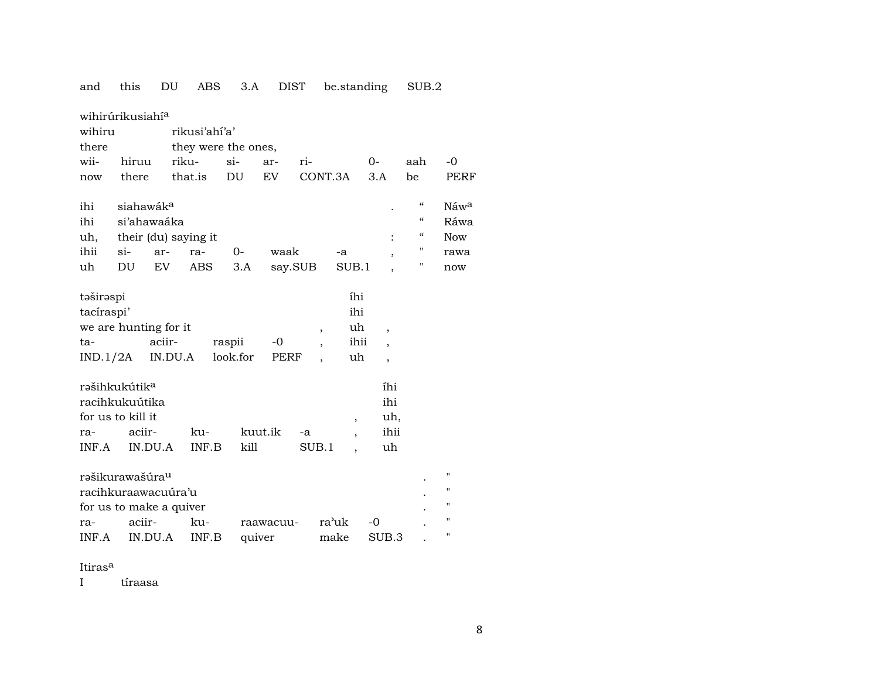| and         | this                         | DU      | ABS           | 3.A                 | <b>DIST</b> |         |         | be.standing              |                          | SUB.2         |                  |
|-------------|------------------------------|---------|---------------|---------------------|-------------|---------|---------|--------------------------|--------------------------|---------------|------------------|
|             | wihirúrikusiahí <sup>a</sup> |         |               |                     |             |         |         |                          |                          |               |                  |
| wihiru      |                              |         | rikusi'ahí'a' |                     |             |         |         |                          |                          |               |                  |
| there       |                              |         |               | they were the ones, |             |         |         |                          |                          |               |                  |
| wii-        | hiruu                        | riku-   |               | $si-$               | ar-         | ri-     |         |                          | $0-$                     | aah           | $-0$             |
| now         | there                        |         | that.is       | DU                  | EV          |         | CONT.3A |                          | 3.A                      | be            | PERF             |
| ihi         | siahawák <sup>a</sup>        |         |               |                     |             |         |         |                          |                          | "             | Náw <sup>a</sup> |
|             | si'ahawaáka                  |         |               |                     |             |         |         |                          |                          | $\mathcal{C}$ | Ráwa             |
| ihi         |                              |         |               |                     |             |         |         |                          |                          | $\epsilon$    | <b>Now</b>       |
| uh,<br>ihii | their (du) saying it         |         |               | $0-$                |             |         |         |                          |                          | н             |                  |
| uh          | si-<br>DU                    | ar-     | ra-           |                     | waak        |         |         | -a                       | $\overline{\phantom{a}}$ | н             | rawa             |
|             |                              | EV      | ABS           | 3.A                 |             | say.SUB |         | SUB.1                    |                          |               | now              |
| təširəspi   |                              |         |               |                     |             |         |         | íhi                      |                          |               |                  |
| tacíraspi'  |                              |         |               |                     |             |         |         | ihi                      |                          |               |                  |
|             | we are hunting for it        |         |               |                     |             |         | ,       | uh                       | ,                        |               |                  |
| ta-         |                              | aciir-  |               | raspii              | $-0$        |         |         | ihii                     | $\overline{\phantom{a}}$ |               |                  |
| IND.1/2A    |                              | IN.DU.A |               | look.for            | PERF        |         |         | uh                       | $\overline{\phantom{a}}$ |               |                  |
|             | rəšihkukútik <sup>a</sup>    |         |               |                     |             |         |         |                          | íhi                      |               |                  |
|             | racihkukuútika               |         |               |                     |             |         |         |                          | ihi                      |               |                  |
|             | for us to kill it            |         |               |                     |             |         |         | $\overline{\phantom{a}}$ | uh,                      |               |                  |
| ra-         | aciir-                       |         | ku-           |                     | kuut.ik     | -a      |         |                          | ihii                     |               |                  |
| INF.A       | IN.DU.A                      |         | INF.B         | kill                |             |         | SUB.1   |                          | uh                       |               |                  |
|             |                              |         |               |                     |             |         |         |                          |                          |               |                  |
|             | rəšikurawašúra <sup>u</sup>  |         |               |                     |             |         |         |                          |                          |               | п                |
|             | racihkuraawacuúra'u          |         |               |                     |             |         |         |                          |                          |               | $\blacksquare$   |
|             | for us to make a quiver      |         |               |                     |             |         |         |                          |                          |               | п                |
| ra-         | aciir-                       |         | ku-           |                     | raawacuu-   |         | ra'uk   |                          | -0                       |               | $\blacksquare$   |
| INF.A       | IN.DU.A                      |         | INF.B         | quiver              |             |         | make    |                          | SUB.3                    |               | п                |

Itiras<sup>a</sup>

I tíraasa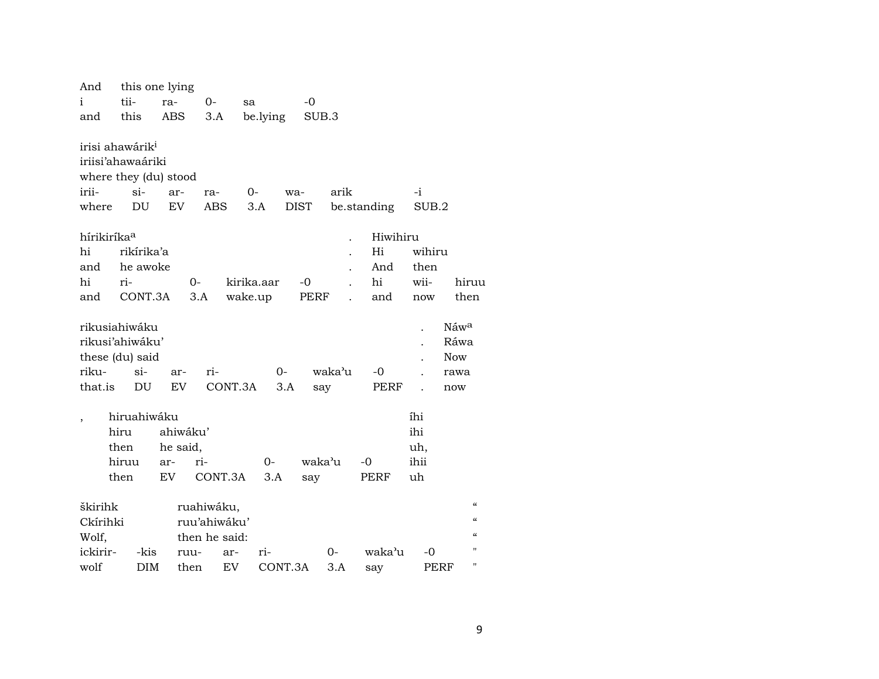| And                                       |                                                                                           | this one lying                     |                   |             |                    |        |                         |                                 |                  |
|-------------------------------------------|-------------------------------------------------------------------------------------------|------------------------------------|-------------------|-------------|--------------------|--------|-------------------------|---------------------------------|------------------|
| i                                         | tii-                                                                                      | ra-                                | 0-                | sa          | $-0$               |        |                         |                                 |                  |
| and                                       | this                                                                                      | ABS                                | 3.A               | be.lying    |                    | SUB.3  |                         |                                 |                  |
| irii-<br>where<br>hírikiríka <sup>a</sup> | irisi ahawárik <sup>i</sup><br>iriisi'ahawaáriki<br>where they (du) stood<br>$\sin$<br>DU | ar-<br>EV                          | ra-<br><b>ABS</b> | $0-$<br>3.A | wa-<br><b>DIST</b> | arik   | be.standing<br>Hiwihiru | $-i$<br>SUB.2                   |                  |
| hi                                        | rikírika'a                                                                                |                                    |                   |             |                    |        | Hi                      | wihiru                          |                  |
| and                                       | he awoke                                                                                  |                                    |                   |             |                    |        | And                     | then                            |                  |
| hi                                        | ri-                                                                                       |                                    | $O -$             | kirika.aar  | $-0$               |        | hi                      | wii-                            | hiruu            |
| and                                       | CONT.3A                                                                                   |                                    | 3.A               | wake.up     | PERF               |        | and                     | now                             | then             |
|                                           |                                                                                           |                                    |                   |             |                    |        |                         |                                 |                  |
|                                           | rikusiahiwáku                                                                             |                                    |                   |             |                    |        |                         |                                 | Náw <sup>a</sup> |
|                                           | rikusi'ahiwáku'                                                                           |                                    |                   |             |                    |        |                         |                                 | Ráwa             |
|                                           | these (du) said                                                                           |                                    |                   |             |                    |        |                         |                                 | <b>Now</b>       |
| riku-                                     | $\sin$                                                                                    | ar-                                | ri-               |             | $0-$               | waka'u | $-0$                    |                                 | rawa             |
| that.is                                   | DU                                                                                        | EV                                 |                   | CONT.3A     | 3.A                | say    | <b>PERF</b>             |                                 | now              |
|                                           | hiruahiwáku<br>hiru<br>then<br>hiruu<br>then                                              | ahiwáku'<br>he said,<br>ar-<br>EV. | ri-<br>CONT.3A    | $0-$<br>3.A | say                | waka'u | -0<br>PERF              | íhi<br>ihi<br>uh,<br>ihii<br>uh |                  |
| škirihk                                   |                                                                                           |                                    | ruahiwáku,        |             |                    |        |                         |                                 | $\alpha$         |
| Ckírihki                                  |                                                                                           |                                    | ruu'ahiwáku'      |             |                    |        |                         |                                 | $\alpha$         |
| Wolf,                                     |                                                                                           |                                    | then he said:     |             |                    |        |                         |                                 |                  |
| ickirir-                                  | -kis                                                                                      | ruu-                               | ar-               | ri-         |                    | $0-$   | waka'u                  | -0                              |                  |
| wolf                                      | DIM                                                                                       | then                               | EV                |             | CONT.3A            | 3.A    | say                     | PERF                            |                  |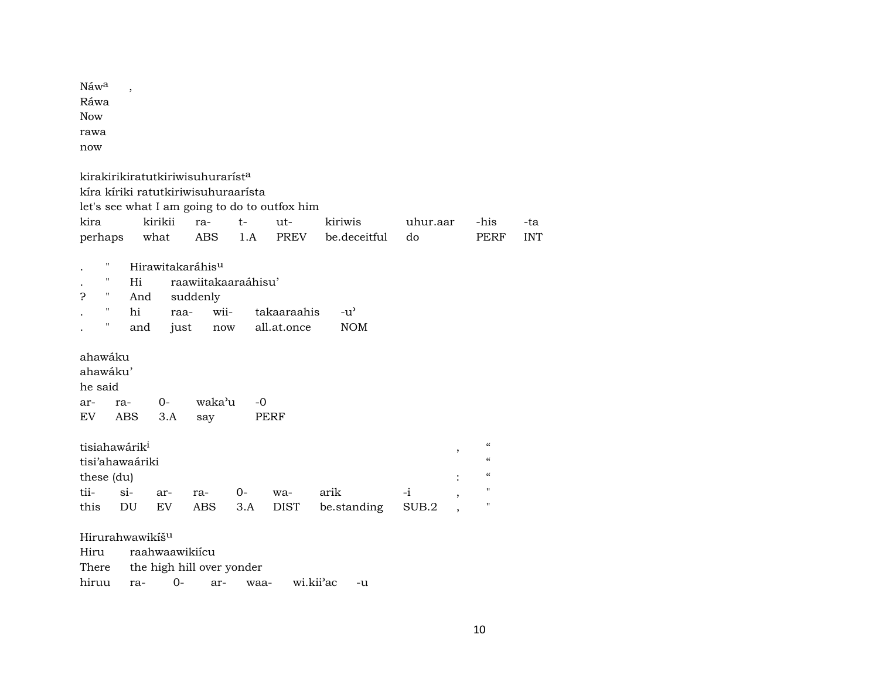| Náw <sup>a</sup> |  |
|------------------|--|
| Ráwa             |  |
| Now              |  |
| rawa             |  |
| now              |  |

| kira                 |                            | perhaps what                                                 | kirikii        | kirakirikiratutkiriwisuhurarist <sup>a</sup><br>kíra kíriki ratutkiriwisuhuraarísta<br>ra-<br>ABS | $t-$<br>1.A | let's see what I am going to do to outfox him<br>$ut-$<br>PREV | kiriwis<br>be.deceitful     | uhur.aar<br>do |                          | -his<br>PERF                                                                                               | -ta<br><b>INT</b> |
|----------------------|----------------------------|--------------------------------------------------------------|----------------|---------------------------------------------------------------------------------------------------|-------------|----------------------------------------------------------------|-----------------------------|----------------|--------------------------|------------------------------------------------------------------------------------------------------------|-------------------|
| Ç                    | "<br>11<br>Η.<br>"<br>11   | Hi<br>And<br>hi<br>and                                       | raa-<br>just   | Hirawitakaráhis <sup>u</sup><br>raawiitakaaraáhisu'<br>suddenly<br>wii-<br>now                    |             | takaaraahis<br>all.at.once                                     | $-u^{\prime}$<br><b>NOM</b> |                |                          |                                                                                                            |                   |
| he said<br>ar-<br>EV | ahawáku<br>ahawáku'<br>ra- | ABS                                                          | $O -$<br>3.A   | waka'u<br>say                                                                                     | $-0$        | PERF                                                           |                             |                |                          |                                                                                                            |                   |
| tii-<br>this         | these (du)                 | tisiahawárik <sup>i</sup><br>tisi'ahawaáriki<br>$\sin$<br>DU | ar-<br>EV.     | ra-<br>ABS                                                                                        | $O-$<br>3.A | wa-<br>DIST                                                    | arik<br>be.standing         | $-i$<br>SUB.2  | $\overline{\phantom{a}}$ | $\boldsymbol{\zeta}\boldsymbol{\zeta}$<br>$\epsilon$<br>$\epsilon$<br>$\blacksquare$<br>$\pmb{\mathsf{H}}$ |                   |
|                      | Hiru                       | Hirurahwawikiš <sup>u</sup>                                  | raahwaawikiícu | 771a anns — Alexa Islande, Isl $11$ agus an anns an a                                             |             |                                                                |                             |                |                          |                                                                                                            |                   |

| There the high hill over yonder |  |  |                                                 |  |
|---------------------------------|--|--|-------------------------------------------------|--|
|                                 |  |  | hiruu ra- 0- ar- waa- wi.kii <sup>3</sup> ac -u |  |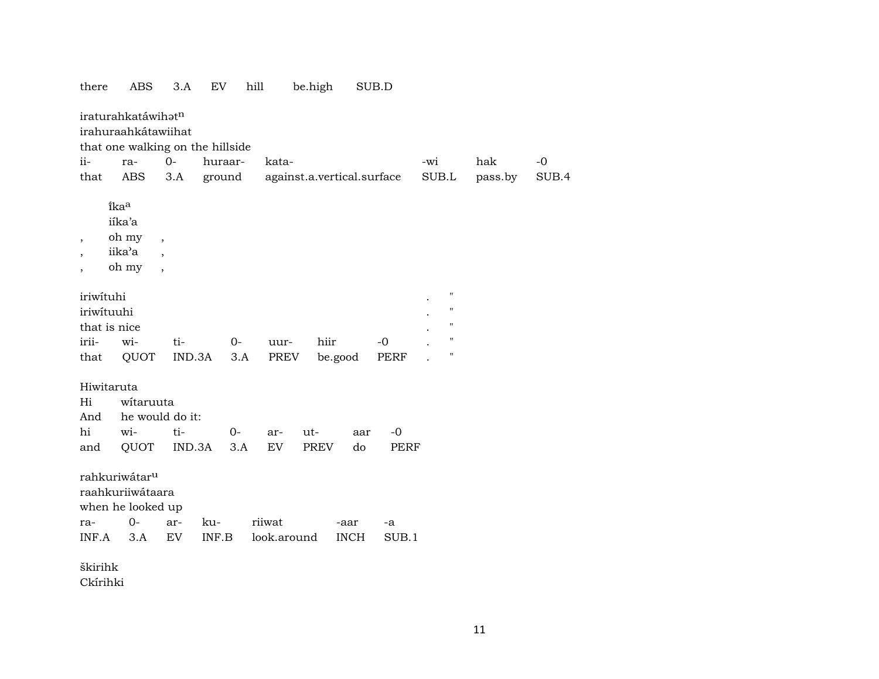| there                    | ABS                                       | 3.A                      | EV      | hill  |             | be.high |                            | SUB.D       |       |                    |         |       |
|--------------------------|-------------------------------------------|--------------------------|---------|-------|-------------|---------|----------------------------|-------------|-------|--------------------|---------|-------|
|                          | iraturahkatáwihatn<br>irahuraahkátawiihat |                          |         |       |             |         |                            |             |       |                    |         |       |
|                          | that one walking on the hillside          |                          |         |       |             |         |                            |             |       |                    |         |       |
| ii-                      | ra-                                       | $O -$                    | huraar- |       | kata-       |         |                            |             | -wi   |                    | hak     | $-0$  |
| that                     | ABS                                       | 3.A                      | ground  |       |             |         | against.a.vertical.surface |             | SUB.L |                    | pass.by | SUB.4 |
|                          | îkaa                                      |                          |         |       |             |         |                            |             |       |                    |         |       |
|                          | iíka'a                                    |                          |         |       |             |         |                            |             |       |                    |         |       |
|                          | oh my                                     |                          |         |       |             |         |                            |             |       |                    |         |       |
| $\overline{\phantom{a}}$ | iika'a                                    | $\overline{\phantom{a}}$ |         |       |             |         |                            |             |       |                    |         |       |
| $\overline{\phantom{a}}$ | oh my                                     |                          |         |       |             |         |                            |             |       |                    |         |       |
| $\overline{ }$           |                                           | $\overline{\phantom{a}}$ |         |       |             |         |                            |             |       |                    |         |       |
| iriwituhi                |                                           |                          |         |       |             |         |                            |             |       | $\pmb{\mathsf{H}}$ |         |       |
| iriwituuhi               |                                           |                          |         |       |             |         |                            |             |       | $\pmb{\mathsf{H}}$ |         |       |
| that is nice             |                                           |                          |         |       |             |         |                            |             |       | $\pmb{\mathsf{H}}$ |         |       |
| irii-                    | wi-                                       | ti-                      |         | $O -$ | uur-        | hiir    |                            | $-0$        |       | $\pmb{\mathsf{H}}$ |         |       |
| that                     | QUOT                                      | IND.3A                   |         | 3.A   | PREV        |         |                            | PERF        |       | $\pmb{\mathsf{H}}$ |         |       |
|                          |                                           |                          |         |       |             |         | be.good                    |             |       |                    |         |       |
| Hiwitaruta               |                                           |                          |         |       |             |         |                            |             |       |                    |         |       |
| Hi                       | witaruuta                                 |                          |         |       |             |         |                            |             |       |                    |         |       |
| And                      | he would do it:                           |                          |         |       |             |         |                            |             |       |                    |         |       |
| hi                       | wi-                                       | ti-                      |         | 0-    | ar-         | ut-     | aar                        | $-0$        |       |                    |         |       |
| and                      | QUOT                                      | IND.3A                   |         | 3.A   | <b>EV</b>   | PREV    | do                         | <b>PERF</b> |       |                    |         |       |
|                          |                                           |                          |         |       |             |         |                            |             |       |                    |         |       |
|                          | rahkuriwátar <sup>u</sup>                 |                          |         |       |             |         |                            |             |       |                    |         |       |
|                          | raahkuriiwátaara                          |                          |         |       |             |         |                            |             |       |                    |         |       |
|                          | when he looked up                         |                          |         |       |             |         |                            |             |       |                    |         |       |
| ra-                      | $0-$                                      | ar-                      | ku-     |       | riiwat      |         | -aar                       | -a          |       |                    |         |       |
| INF.A                    | 3.A                                       | EV                       | INF.B   |       | look.around |         | <b>INCH</b>                | SUB.1       |       |                    |         |       |
|                          |                                           |                          |         |       |             |         |                            |             |       |                    |         |       |
| škirihk                  |                                           |                          |         |       |             |         |                            |             |       |                    |         |       |
| Ckírihki                 |                                           |                          |         |       |             |         |                            |             |       |                    |         |       |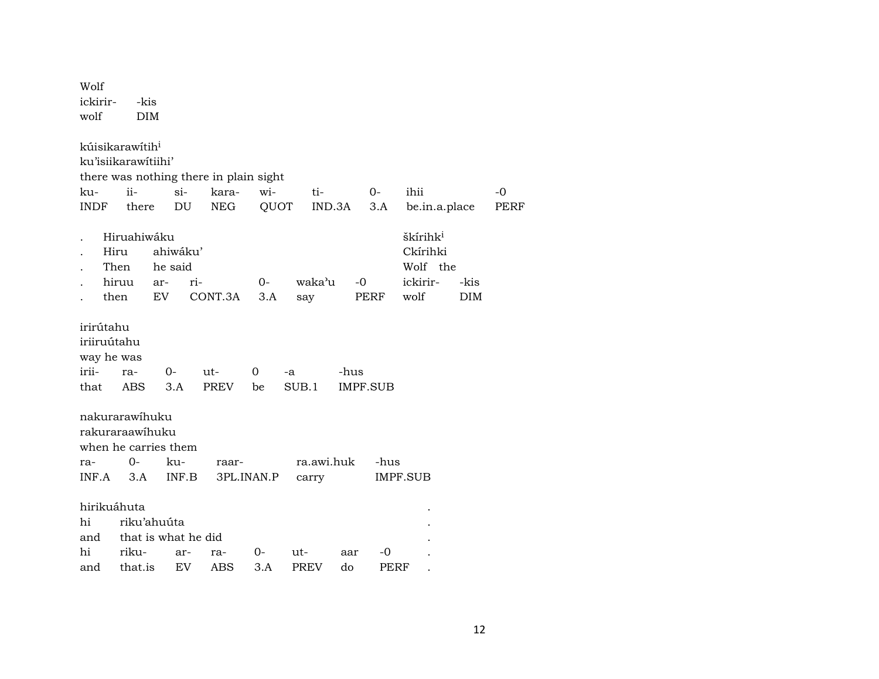| Wolf<br>ickirir-<br>wolf | -kis<br><b>DIM</b>          |                      |                                        |            |             |            |                 |                      |      |             |
|--------------------------|-----------------------------|----------------------|----------------------------------------|------------|-------------|------------|-----------------|----------------------|------|-------------|
|                          | kúisikarawítih <sup>i</sup> |                      |                                        |            |             |            |                 |                      |      |             |
|                          | ku'isiikarawitiihi'         |                      |                                        |            |             |            |                 |                      |      |             |
|                          |                             |                      | there was nothing there in plain sight |            |             |            |                 |                      |      |             |
| ku-                      | ii-                         | $\sin$               | kara-                                  | wi-        | ti-         |            | $O -$           | ihii                 |      | -0          |
| <b>INDF</b>              | there                       | DU                   | <b>NEG</b>                             | QUOT       |             | IND.3A     | 3.A             | be.in.a.place        |      | <b>PERF</b> |
|                          | Hiruahiwáku                 |                      |                                        |            |             |            |                 | škírihk <sup>i</sup> |      |             |
| Hiru                     |                             | ahiwáku'             |                                        |            |             |            |                 | Ckírihki             |      |             |
|                          | Then                        | he said              |                                        |            |             |            |                 | Wolf the             |      |             |
|                          | hiruu                       | ri-<br>ar-           |                                        | $0-$       | waka'u      |            | $-0$            | ickirir-             | -kis |             |
| then                     |                             | EV                   | CONT.3A                                | 3.A        | say         |            | PERF            | wolf                 | DIM  |             |
| irirútahu                |                             |                      |                                        |            |             |            |                 |                      |      |             |
| iriiruútahu              |                             |                      |                                        |            |             |            |                 |                      |      |             |
| way he was               |                             |                      |                                        |            |             |            |                 |                      |      |             |
| irii-                    | ra-                         | 0-                   | ut-                                    | 0          | -a          | -hus       |                 |                      |      |             |
| that                     | ABS                         | 3.A                  | <b>PREV</b>                            | be         | SUB.1       |            | <b>IMPF.SUB</b> |                      |      |             |
|                          | nakurarawihuku              |                      |                                        |            |             |            |                 |                      |      |             |
|                          | rakuraraawihuku             |                      |                                        |            |             |            |                 |                      |      |             |
|                          |                             | when he carries them |                                        |            |             |            |                 |                      |      |             |
| ra-                      | 0-                          | ku-                  | raar-                                  |            |             | ra.awi.huk | -hus            |                      |      |             |
| INF.A                    | 3.A                         | INF.B                |                                        | 3PL.INAN.P | carry       |            |                 | IMPF.SUB             |      |             |
| hirikuáhuta              |                             |                      |                                        |            |             |            |                 |                      |      |             |
| hi                       | riku'ahuúta                 |                      |                                        |            |             |            |                 |                      |      |             |
| and                      |                             | that is what he did  |                                        |            |             |            |                 |                      |      |             |
| hi                       | riku-                       | ar-                  | ra-                                    | 0-         | ut-         | aar        | -0              |                      |      |             |
| and                      | that.is                     | EV                   | <b>ABS</b>                             | 3.A        | <b>PREV</b> | do         | PERF            |                      |      |             |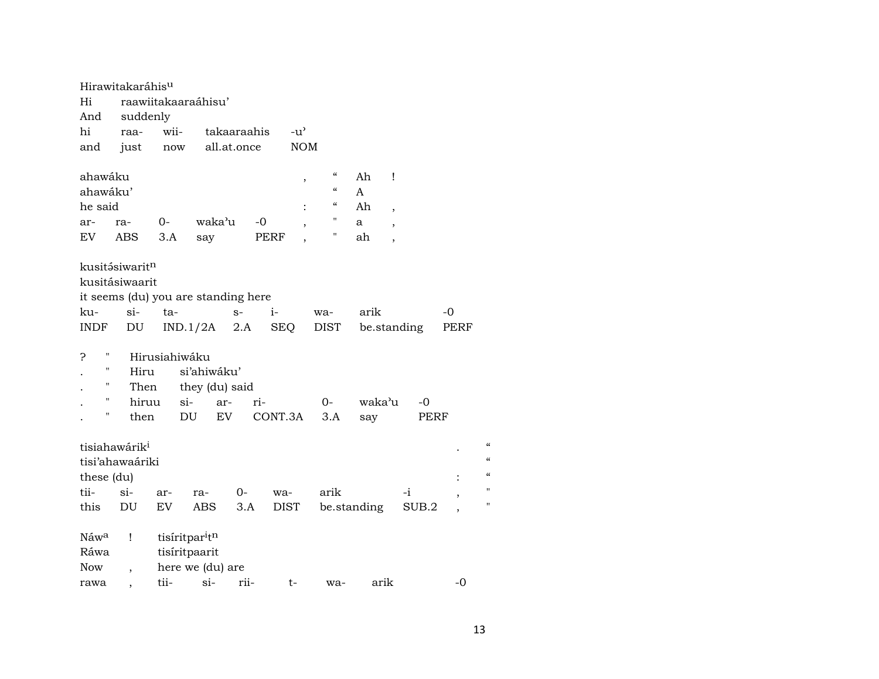|                    | Hirawitakaráhis <sup>u</sup> |               |                                     |             |               |                                  |             |                          |      |                            |
|--------------------|------------------------------|---------------|-------------------------------------|-------------|---------------|----------------------------------|-------------|--------------------------|------|----------------------------|
| Hi                 |                              |               | raawiitakaaraáhisu'                 |             |               |                                  |             |                          |      |                            |
| And                | suddenly                     |               |                                     |             |               |                                  |             |                          |      |                            |
| hi                 | raa-                         | wii-          |                                     | takaaraahis | $-u^{\prime}$ |                                  |             |                          |      |                            |
| and                | just                         | now           |                                     | all.at.once |               | <b>NOM</b>                       |             |                          |      |                            |
|                    |                              |               |                                     |             |               |                                  |             |                          |      |                            |
| ahawáku            |                              |               |                                     |             |               | $\pmb{\zeta}\pmb{\zeta}$<br>$\,$ | Ah          | Ţ                        |      |                            |
| ahawáku'           |                              |               |                                     |             |               | $\pmb{\zeta}\pmb{\zeta}$         | A           |                          |      |                            |
| he said            |                              |               |                                     |             |               | "<br>$\ddot{\cdot}$              | Ah          | $\cdot$                  |      |                            |
| ar-                | ra-                          | 0-            | waka'u                              | $-0$        |               | 11                               | a           | $\overline{ }$           |      |                            |
| EV                 | ABS                          | 3.A           | say                                 |             | PERF          | п                                | ah          | $\overline{\phantom{a}}$ |      |                            |
|                    |                              |               |                                     |             |               |                                  |             |                          |      |                            |
|                    | kusitásiwaritn               |               |                                     |             |               |                                  |             |                          |      |                            |
|                    | kusitásiwaarit               |               |                                     |             |               |                                  |             |                          |      |                            |
|                    |                              |               | it seems (du) you are standing here |             |               |                                  |             |                          |      |                            |
| ku-                | $si$ -                       | ta-           |                                     | $S-$        | $i-$          | wa-                              | arik        |                          | -0   |                            |
| INDF               | DU                           |               | $IND.1/2A$ 2.A                      |             | SEQ           | DIST                             |             | be.standing              | PERF |                            |
|                    |                              |               |                                     |             |               |                                  |             |                          |      |                            |
| ?<br>Ħ             |                              | Hirusiahiwáku |                                     |             |               |                                  |             |                          |      |                            |
| $\pmb{\mathsf{H}}$ | Hiru                         |               | si'ahiwáku'                         |             |               |                                  |             |                          |      |                            |
| "                  | Then                         |               | they (du) said                      |             |               |                                  |             |                          |      |                            |
| $\pmb{\mathsf{H}}$ | hiruu                        |               | $\sin$<br>ar-                       | ri-         |               | $0-$                             | waka'u      | $-0$                     |      |                            |
| Ħ                  | then                         |               | EV<br>DU                            |             | CONT.3A       | 3.A                              | say         | PERF                     |      |                            |
|                    |                              |               |                                     |             |               |                                  |             |                          |      |                            |
|                    | tisiahawárik <sup>i</sup>    |               |                                     |             |               |                                  |             |                          |      | $\boldsymbol{\mathcal{C}}$ |
|                    | tisi'ahawaáriki              |               |                                     |             |               |                                  |             |                          |      | $\mathcal{C}$              |
| these (du)         |                              |               |                                     |             |               |                                  |             |                          |      | $\pmb{\zeta}\pmb{\zeta}$   |
| tii-               | $si$ -                       | ar-           | ra-                                 | 0-          | wa-           | arik                             |             | $-i$                     |      | $\blacksquare$             |
| this               | DU                           | EV            | ABS                                 | 3.A         | DIST          |                                  | be.standing | SUB.2                    |      | Ħ                          |
|                    |                              |               |                                     |             |               |                                  |             |                          |      |                            |
| Náw <sup>a</sup>   | Ţ                            |               | tisiritparitn                       |             |               |                                  |             |                          |      |                            |
| Ráwa               |                              |               | tisíritpaarit                       |             |               |                                  |             |                          |      |                            |
| <b>Now</b>         | $\overline{ }$               |               | here we (du) are                    |             |               |                                  |             |                          |      |                            |
| rawa               |                              | tii-          | $\sin$                              | rii-        | t-            | wa-                              | arik        |                          | $-0$ |                            |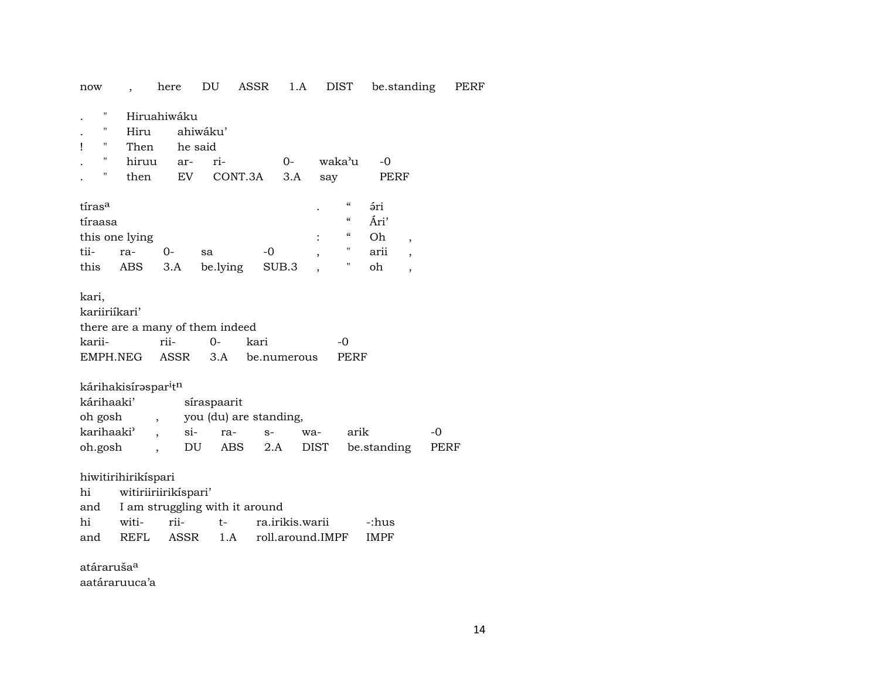| now                    |                                              | here                 | DU                                    | ASSR    | 1.A             |                  | <b>DIST</b>              | be.standing |                          | P    |
|------------------------|----------------------------------------------|----------------------|---------------------------------------|---------|-----------------|------------------|--------------------------|-------------|--------------------------|------|
| Π<br>Π<br>11<br>ı<br>н | Hiru<br>Then<br>hiruu                        | Hiruahiwáku<br>ar-   | ahiwáku'<br>he said<br>ri-            |         | $0-$            |                  | waka'u                   | -0          |                          |      |
| н                      | then                                         | EV                   |                                       | CONT.3A | 3.A             | say              |                          | PERF        |                          |      |
|                        |                                              |                      |                                       |         |                 |                  |                          |             |                          |      |
| tíras <sup>a</sup>     |                                              |                      |                                       |         |                 |                  | $\mathcal{C}\mathcal{C}$ | ári         |                          |      |
| tíraasa                |                                              |                      |                                       |         |                 |                  | $\epsilon$               | Ári'        |                          |      |
|                        | this one lying                               |                      |                                       |         |                 |                  | "                        | Oh          | $\overline{\phantom{a}}$ |      |
| tii-                   | ra-                                          | 0-                   | sa                                    | $-0$    |                 | ,                | н                        | arii        | $\overline{\phantom{a}}$ |      |
| this                   | ABS                                          | 3.A                  | be.lying                              |         | SUB.3           |                  | н                        | oh          | $\overline{\phantom{a}}$ |      |
| kari,                  |                                              |                      |                                       |         |                 |                  |                          |             |                          |      |
| kariiriíkari'          |                                              |                      |                                       |         |                 |                  |                          |             |                          |      |
|                        |                                              |                      | there are a many of them indeed       |         |                 |                  |                          |             |                          |      |
| karii-                 |                                              | rii-                 | 0-                                    | kari    |                 |                  | $-0$                     |             |                          |      |
| EMPH.NEG               |                                              | ASSR                 | 3.A                                   |         | be.numerous     |                  | PERF                     |             |                          |      |
| kárihaaki'<br>oh gosh  | kárihakisírəspar <sup>i</sup> t <sup>n</sup> | $\overline{ }$       | síraspaarit<br>you (du) are standing, |         |                 |                  |                          |             |                          |      |
| karihaaki <sup>3</sup> |                                              | $\sin$               | ra-                                   | $S-$    |                 | wa-              | arik                     |             |                          | $-0$ |
| oh.gosh                |                                              |                      | DU                                    | ABS     | 2.A             | <b>DIST</b>      |                          | be.standing |                          | PERF |
| hi                     | hiwitirihirikíspari                          | witiriiriirikíspari' |                                       |         |                 |                  |                          |             |                          |      |
| and                    |                                              |                      | I am struggling with it around        |         |                 |                  |                          |             |                          |      |
| hi                     | witi-                                        | rii-                 | t-                                    |         | ra.irikis.warii |                  |                          | -:hus       |                          |      |
| and                    | <b>REFL</b>                                  | ASSR                 | 1.A                                   |         |                 | roll.around.IMPF |                          | <b>IMPF</b> |                          |      |
| atáraruša <sup>a</sup> |                                              |                      |                                       |         |                 |                  |                          |             |                          |      |
|                        | aatáraruuca'a                                |                      |                                       |         |                 |                  |                          |             |                          |      |

PERF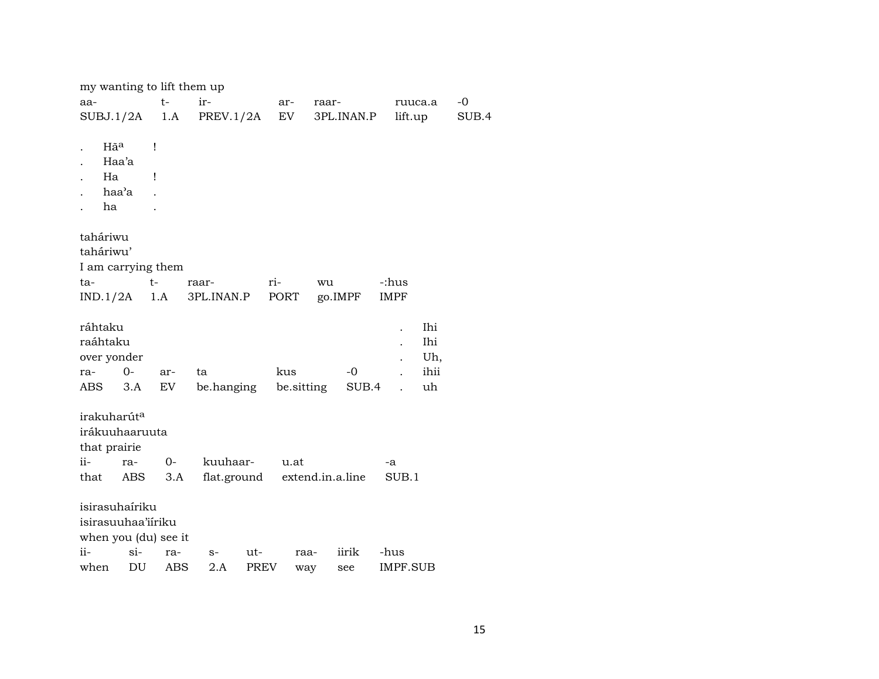| my wanting to lift them up |      |                     |            |                  |             |       |
|----------------------------|------|---------------------|------------|------------------|-------------|-------|
| aa-                        | $t-$ | ir-                 | ar-        | raar-            | ruuca.a     | -0    |
| SUBJ.1/2A                  | 1.A  | PREV.1/2A           | EV         | 3PL.INAN.P       | lift.up     | SUB.4 |
|                            |      |                     |            |                  |             |       |
| Hã <sup>a</sup>            | Ţ    |                     |            |                  |             |       |
| Haa'a                      |      |                     |            |                  |             |       |
| Ha                         | 1    |                     |            |                  |             |       |
| haa'a                      |      |                     |            |                  |             |       |
| ha                         |      |                     |            |                  |             |       |
|                            |      |                     |            |                  |             |       |
| taháriwu<br>taháriwu'      |      |                     |            |                  |             |       |
|                            |      |                     |            |                  |             |       |
| I am carrying them<br>ta-  | $t-$ |                     | ri-        |                  | -:hus       |       |
| IND.1/2A                   | 1.A  | raar-<br>3PL.INAN.P | PORT       | wu<br>go.IMPF    | <b>IMPF</b> |       |
|                            |      |                     |            |                  |             |       |
| ráhtaku                    |      |                     |            |                  | Ihi         |       |
| raáhtaku                   |      |                     |            |                  | Ihi         |       |
| over yonder                |      |                     |            |                  | Uh,         |       |
| $0-$<br>ra-                | ar-  | ta                  | kus        | $-0$             | ihii        |       |
| ABS<br>3.A                 | EV   | be.hanging          | be sitting | SUB.4            | uh          |       |
|                            |      |                     |            |                  |             |       |
| irakuharút <sup>a</sup>    |      |                     |            |                  |             |       |
| irákuuhaaruuta             |      |                     |            |                  |             |       |
| that prairie               |      |                     |            |                  |             |       |
| ii-<br>ra-                 | $0-$ | kuuhaar-            | u.at       |                  | -a          |       |
| that<br>ABS                | 3.A  | flat.ground         |            | extend.in.a.line | SUB.1       |       |
|                            |      |                     |            |                  |             |       |
| isirasuhaíriku             |      |                     |            |                  |             |       |
| isirasuuhaa'iiriku         |      |                     |            |                  |             |       |
| when you (du) see it       |      |                     |            |                  |             |       |
| ii-<br>$\sin$              | ra-  | ut-<br>$S-$         | raa-       | iirik            | -hus        |       |
| DU<br>when                 | ABS  | 2.A<br><b>PREV</b>  | way        | see              | IMPF.SUB    |       |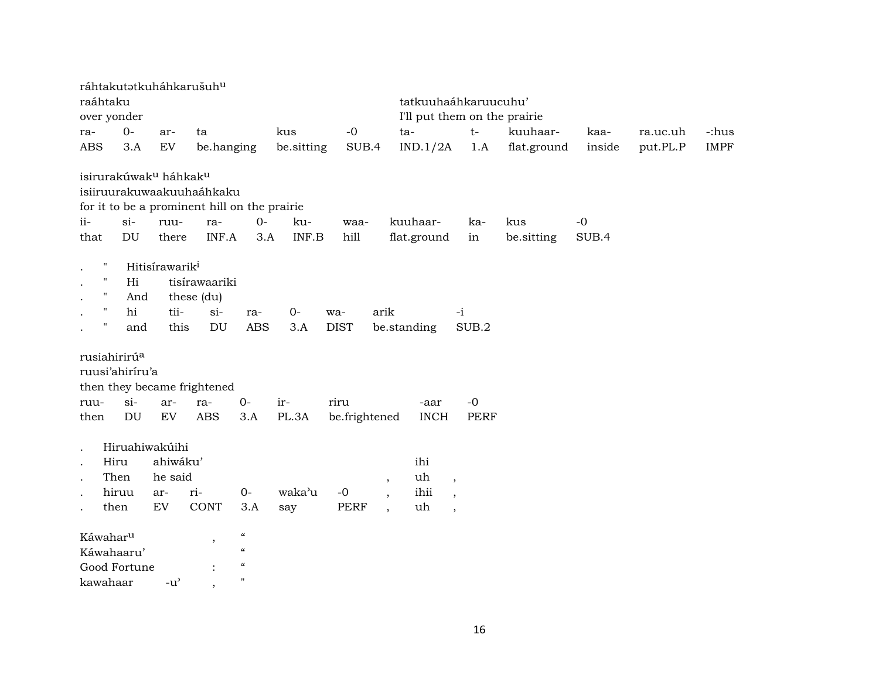| ráhtakutatkuháhkarušuh <sup>u</sup>                                                                                        |                                                          |                                                                    |                                          |               |                     |                                                                |                              |                                                                                  |             |        |          |             |
|----------------------------------------------------------------------------------------------------------------------------|----------------------------------------------------------|--------------------------------------------------------------------|------------------------------------------|---------------|---------------------|----------------------------------------------------------------|------------------------------|----------------------------------------------------------------------------------|-------------|--------|----------|-------------|
| raáhtaku                                                                                                                   |                                                          |                                                                    |                                          |               |                     |                                                                | tatkuuhaáhkaruucuhu'         |                                                                                  |             |        |          |             |
| over yonder                                                                                                                |                                                          |                                                                    |                                          |               |                     |                                                                | I'll put them on the prairie |                                                                                  |             |        |          |             |
| $0-$<br>ra-                                                                                                                | ar-                                                      | ta                                                                 |                                          | kus           | $-0$                |                                                                | ta-                          | $t-$                                                                             | kuuhaar-    | kaa-   | ra.uc.uh | -:hus       |
| <b>ABS</b><br>3.A                                                                                                          | ${\rm EV}$                                               | be.hanging                                                         |                                          | be.sitting    | SUB.4               |                                                                | IND.1/2A                     | 1.A                                                                              | flat.ground | inside | put.PL.P | <b>IMPF</b> |
| isirurakúwak <sup>u</sup> háhkak <sup>u</sup><br>isiiruurakuwaakuuhaáhkaku<br>for it to be a prominent hill on the prairie |                                                          |                                                                    |                                          |               |                     |                                                                |                              |                                                                                  |             |        |          |             |
| $ii-$<br>$si-$                                                                                                             | ruu-                                                     |                                                                    | $0-$                                     | ku-           |                     |                                                                | kuuhaar-                     | ka-                                                                              | kus         | $-0$   |          |             |
| DU<br>that                                                                                                                 | there                                                    | ra-<br>INF.A                                                       | 3.A                                      | INF.B         | waa-<br>hill        |                                                                | flat.ground                  | in                                                                               |             | SUB.4  |          |             |
|                                                                                                                            |                                                          |                                                                    |                                          |               |                     |                                                                |                              |                                                                                  | be.sitting  |        |          |             |
| $\pmb{\cdot}$<br>$\pmb{\mathsf{H}}$<br>Hi<br>11<br>11<br>hi<br>п                                                           | Hitisírawarik <sup>i</sup><br>And<br>tii-<br>this<br>and | tisírawaariki<br>these (du)<br>$si-$<br>$\mathop{\rm DU}\nolimits$ | ra-<br><b>ABS</b>                        | $0 -$<br>3.A  | wa-<br><b>DIST</b>  | arik<br>be.standing                                            |                              | $-i$<br>SUB.2                                                                    |             |        |          |             |
| rusiahirirú <sup>a</sup><br>ruusi'ahiríru'a<br>then they became frightened                                                 |                                                          |                                                                    |                                          |               |                     |                                                                |                              |                                                                                  |             |        |          |             |
| $si-$<br>ruu-                                                                                                              | ar-                                                      | ra-                                                                | $0-$                                     | ir-           | riru                |                                                                | -aar                         | $-0$                                                                             |             |        |          |             |
| DU<br>then                                                                                                                 | ${\rm EV}$                                               | <b>ABS</b>                                                         | 3.A                                      | PL.3A         | be.frightened       |                                                                | <b>INCH</b>                  | <b>PERF</b>                                                                      |             |        |          |             |
| Hiru<br>Then<br>hiruu<br>then<br>Káwahar <sup>u</sup>                                                                      | Hiruahiwakúihi<br>ahiwáku'<br>he said<br>ar-<br>EV       | ri-<br>CONT<br>$^\mathrm{,}$                                       | $O -$<br>3.A<br>$\mathcal{C}\mathcal{C}$ | waka'u<br>say | $-0$<br><b>PERF</b> | $\, ,$<br>$\overline{\phantom{a}}$<br>$\overline{\phantom{a}}$ | ihi<br>uh<br>ihii<br>uh      | $\overline{\phantom{a}}$<br>$\overline{\phantom{a}}$<br>$\overline{\phantom{a}}$ |             |        |          |             |
| Káwahaaru'                                                                                                                 |                                                          |                                                                    | $\boldsymbol{\mathcal{C}}$               |               |                     |                                                                |                              |                                                                                  |             |        |          |             |
| Good Fortune                                                                                                               |                                                          |                                                                    | $\boldsymbol{\zeta}\boldsymbol{\zeta}$   |               |                     |                                                                |                              |                                                                                  |             |        |          |             |
| kawahaar                                                                                                                   | $-u^{\prime}$                                            | $\cdot$                                                            | $\pmb{\mathsf{H}}$                       |               |                     |                                                                |                              |                                                                                  |             |        |          |             |
|                                                                                                                            |                                                          |                                                                    |                                          |               |                     |                                                                |                              |                                                                                  |             |        |          |             |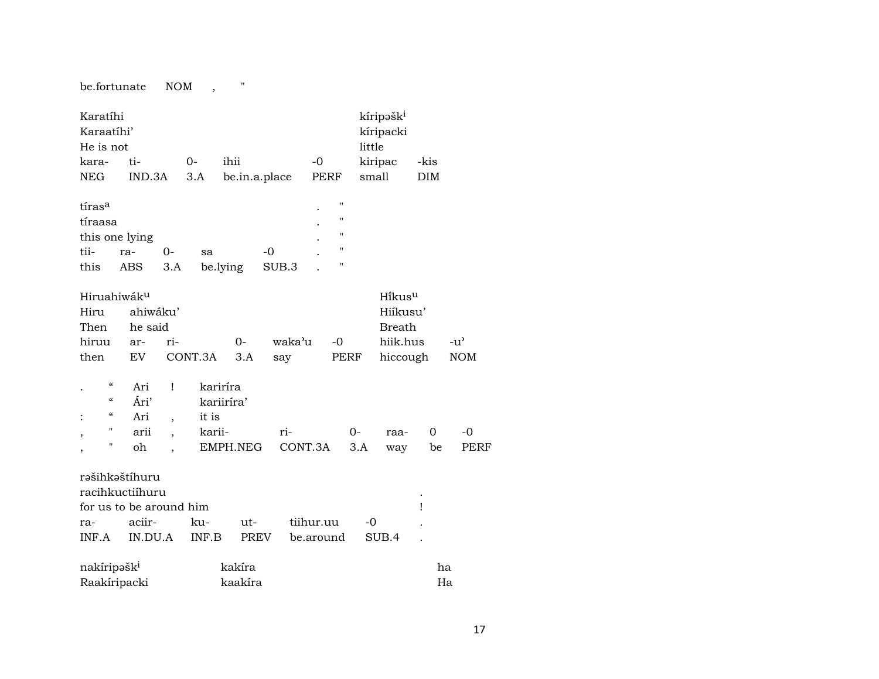be.fortunate NOM , "

| Karatíhi<br>Karaatíhi'<br>He is not                             |                                                              |                      |                 |                   |               |           |                       | kíripəšk <sup>i</sup><br>kíripacki<br>little                |            |                             |
|-----------------------------------------------------------------|--------------------------------------------------------------|----------------------|-----------------|-------------------|---------------|-----------|-----------------------|-------------------------------------------------------------|------------|-----------------------------|
| kara-                                                           | ti-                                                          |                      | $0-$            | ihii              |               | -0        |                       | kiripac                                                     | -kis       |                             |
| NEG                                                             | IND.3A                                                       |                      | 3.A             | be.in.a.place     |               | PERF      |                       | small                                                       | <b>DIM</b> |                             |
| tíras <sup>a</sup><br>tíraasa<br>this one lying<br>tii-<br>this | ra-<br>ABS                                                   | 0-<br>3.A            | sa              | be.lying          | $-0$<br>SUB.3 |           | Ħ<br>Ħ<br>Ħ<br>Н<br>Ħ |                                                             |            |                             |
| Hiruahiwák <sup>u</sup><br>Hiru<br>Then<br>hiruu<br>then        | ahiwáku'<br>he said<br>ar-<br>EV                             | ri-                  | CONT.3A         | $0-$<br>3.A       | waka'u<br>say | -0        | PERF                  | Hikusu<br>Hiikusu'<br><b>Breath</b><br>hiik.hus<br>hiccough |            | $-u^{\prime}$<br><b>NOM</b> |
| $\mathcal{C}$<br>$\epsilon$<br>$\epsilon\epsilon$               | Ari<br>Ári'                                                  | Ţ                    | kariríra        | kariiríra'        |               |           |                       |                                                             |            |                             |
| $\ddot{\cdot}$<br>н                                             | Ari<br>arii                                                  | $\overline{ }$       | it is<br>karii- |                   | ri-           |           | $0-$                  | raa-                                                        | 0          | $-0$                        |
| ,<br>Н<br>$\overline{\phantom{a}}$                              | oh                                                           | $\ddot{\phantom{0}}$ |                 | EMPH.NEG          |               | CONT.3A   | 3.A                   | way                                                         | be         | PERF                        |
|                                                                 | rašihkaštíhuru<br>racihkuctiíhuru<br>for us to be around him |                      |                 |                   |               |           |                       |                                                             | Ţ          |                             |
| ra-                                                             | aciir-                                                       |                      | ku-             | ut-               |               | tiihur.uu |                       | $-0$                                                        |            |                             |
| INF.A                                                           | IN.DU.A                                                      |                      | INF.B           | PREV              |               | be.around |                       | SUB.4                                                       |            |                             |
| nakíripəšk <sup>i</sup>                                         |                                                              |                      |                 | kakíra<br>kaakíra |               |           |                       |                                                             | ha<br>Ha   |                             |
| Raakíripacki                                                    |                                                              |                      |                 |                   |               |           |                       |                                                             |            |                             |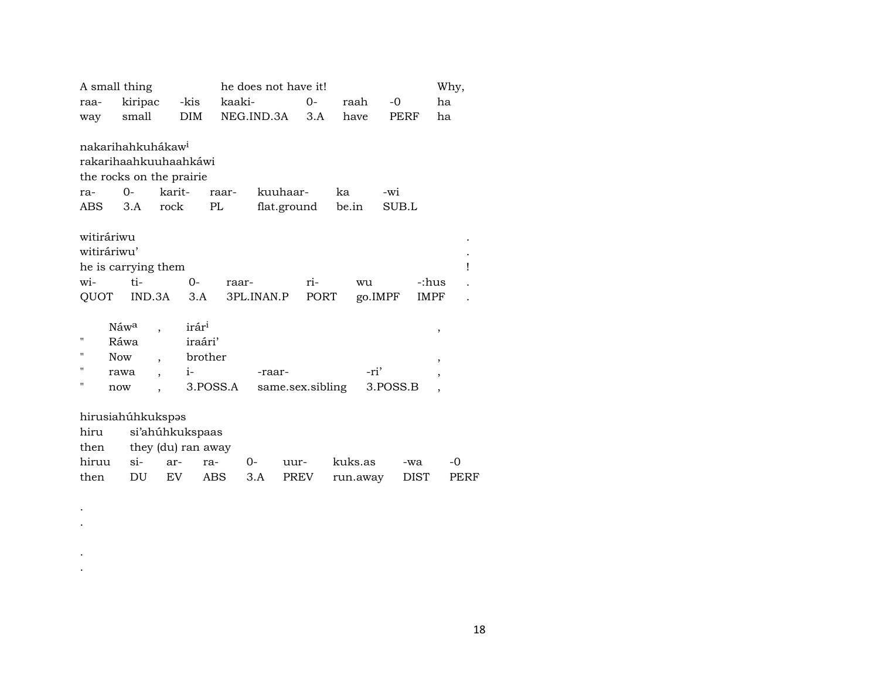|             | A small thing                 |                    |                   |          | he does not have it! |       |       |      |          |             | Why,           |   |
|-------------|-------------------------------|--------------------|-------------------|----------|----------------------|-------|-------|------|----------|-------------|----------------|---|
| raa-        | kiripac                       |                    | -kis              |          | kaaki-               | $0 -$ |       | raah | -0       |             | ha             |   |
| way         | small                         |                    | DIM               |          | NEG.IND.3A           | 3.A   |       | have | PERF     |             | ha             |   |
|             |                               |                    |                   |          |                      |       |       |      |          |             |                |   |
|             | nakarihahkuhákaw <sup>i</sup> |                    |                   |          |                      |       |       |      |          |             |                |   |
|             | rakarihaahkuuhaahkáwi         |                    |                   |          |                      |       |       |      |          |             |                |   |
|             | the rocks on the prairie      |                    |                   |          |                      |       |       |      |          |             |                |   |
| ra-         | $0-$                          | karit-             |                   | raar-    | kuuhaar-             |       | ka    |      | -wi      |             |                |   |
| ABS         | 3.A                           | rock               |                   | PL       | flat.ground          |       | be.in |      | SUB.L    |             |                |   |
|             |                               |                    |                   |          |                      |       |       |      |          |             |                |   |
| witiráriwu  |                               |                    |                   |          |                      |       |       |      |          |             |                |   |
| witiráriwu' |                               |                    |                   |          |                      |       |       |      |          |             |                |   |
|             | he is carrying them           |                    |                   |          |                      |       |       |      |          |             |                | ı |
| wi-         | ti-                           |                    | 0-                | raar-    |                      | ri-   |       | wu   |          | -:hus       |                |   |
| QUOT        |                               | IND.3A             | 3.A               |          | 3PL.INAN.P           | PORT  |       |      | go.IMPF  | <b>IMPF</b> |                |   |
|             |                               |                    |                   |          |                      |       |       |      |          |             |                |   |
|             | Náw <sup>a</sup>              |                    | irár <sup>i</sup> |          |                      |       |       |      |          |             | ,              |   |
| н           | Ráwa                          |                    | iraári'           |          |                      |       |       |      |          |             |                |   |
| п           | <b>Now</b>                    |                    | brother           |          |                      |       |       |      |          |             | $\,$           |   |
| п           | rawa                          |                    | $i-$              |          | -raar-               |       |       | -ri' |          |             | ,              |   |
| п           | now                           |                    |                   | 3.POSS.A | same.sex.sibling     |       |       |      | 3.POSS.B |             | $\overline{ }$ |   |
|             |                               |                    |                   |          |                      |       |       |      |          |             |                |   |
|             | hirusiahúhkukspəs             |                    |                   |          |                      |       |       |      |          |             |                |   |
| hiru        |                               | si'ahúhkukspaas    |                   |          |                      |       |       |      |          |             |                |   |
| then        |                               | they (du) ran away |                   |          |                      |       |       |      |          |             |                |   |

| $\frac{1}{2}$ and $\frac{1}{2}$ and $\frac{1}{2}$ |  |  |                                            |  |
|---------------------------------------------------|--|--|--------------------------------------------|--|
|                                                   |  |  | hiruu si- ar- ra- 0- uur- kuks.as -wa -0   |  |
|                                                   |  |  | then DU EV ABS 3.A PREV run.away DIST PERF |  |

. .

. .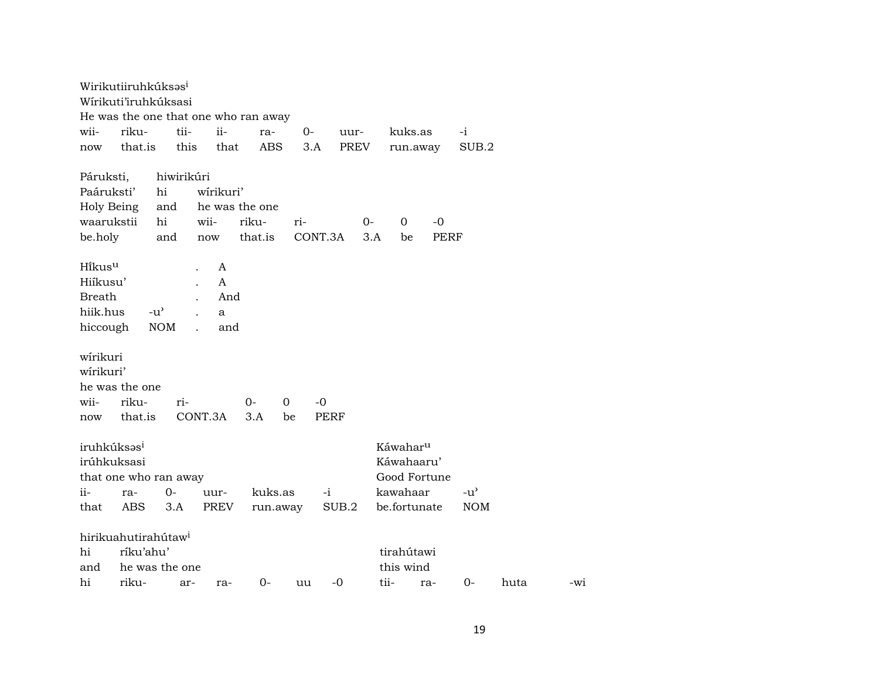|                         | Wirikutiiruhkúksas <sup>i</sup>      |               |            |             |                |             |             |             |      |                      |             |               |      |       |
|-------------------------|--------------------------------------|---------------|------------|-------------|----------------|-------------|-------------|-------------|------|----------------------|-------------|---------------|------|-------|
|                         | Wírikuti'iruhkúksasi                 |               |            |             |                |             |             |             |      |                      |             |               |      |       |
|                         | He was the one that one who ran away |               |            |             |                |             |             |             |      |                      |             |               |      |       |
| wii-                    | riku-                                |               | tii-       | ii-         | ra-            | $0-$        |             | uur-        |      | kuks.as              |             | $-i$          |      |       |
| now                     | that.is                              |               | this       | that        | <b>ABS</b>     |             | 3.A         | <b>PREV</b> |      | run.away             |             | SUB.2         |      |       |
| Páruksti,               |                                      |               | hiwirikúri |             |                |             |             |             |      |                      |             |               |      |       |
| Paáruksti'              |                                      | hi            |            | wírikuri'   |                |             |             |             |      |                      |             |               |      |       |
| Holy Being              |                                      | and           |            |             | he was the one |             |             |             |      |                      |             |               |      |       |
| waarukstii              |                                      | hi            | wii-       |             | riku-          | ri-         |             | 0-          |      | 0                    | $-0$        |               |      |       |
| be.holy                 |                                      | and           |            | now         | that.is        |             | CONT.3A     |             | 3.A  | be                   | <b>PERF</b> |               |      |       |
| Hikusu                  |                                      |               |            | A           |                |             |             |             |      |                      |             |               |      |       |
| Hiíkusu'                |                                      |               |            | A           |                |             |             |             |      |                      |             |               |      |       |
| <b>Breath</b>           |                                      |               |            | And         |                |             |             |             |      |                      |             |               |      |       |
| hiik.hus                |                                      | $-u^{\prime}$ |            | a           |                |             |             |             |      |                      |             |               |      |       |
| hiccough                |                                      | <b>NOM</b>    |            | and         |                |             |             |             |      |                      |             |               |      |       |
|                         |                                      |               |            |             |                |             |             |             |      |                      |             |               |      |       |
| wírikuri                |                                      |               |            |             |                |             |             |             |      |                      |             |               |      |       |
| wírikuri'               |                                      |               |            |             |                |             |             |             |      |                      |             |               |      |       |
|                         | he was the one                       |               |            |             |                |             |             |             |      |                      |             |               |      |       |
| wii-                    | riku-                                |               | ri-        |             | 0-             | $\mathbf 0$ | $-0$        |             |      |                      |             |               |      |       |
| now                     | that.is                              |               | CONT.3A    |             | 3.A            | be          | <b>PERF</b> |             |      |                      |             |               |      |       |
|                         |                                      |               |            |             |                |             |             |             |      |                      |             |               |      |       |
| iruhkúksas <sup>i</sup> |                                      |               |            |             |                |             |             |             |      | Káwahar <sup>u</sup> |             |               |      |       |
| irúhkuksasi             |                                      |               |            |             |                |             |             |             |      | Káwahaaru'           |             |               |      |       |
|                         | that one who ran away                |               |            |             |                |             |             |             |      | Good Fortune         |             |               |      |       |
| ii-                     | ra-                                  | $O -$         |            | uur-        | kuks.as        |             | $-i$        |             |      | kawahaar             |             | $-u^{\prime}$ |      |       |
| that                    | <b>ABS</b>                           |               | 3.A        | <b>PREV</b> |                | run.away    |             | SUB.2       |      | be.fortunate         |             | <b>NOM</b>    |      |       |
|                         |                                      |               |            |             |                |             |             |             |      |                      |             |               |      |       |
|                         | hirikuahutirahútaw <sup>i</sup>      |               |            |             |                |             |             |             |      |                      |             |               |      |       |
| hi                      | ríku'ahu'                            |               |            |             |                |             |             |             |      | tirahútawi           |             |               |      |       |
| and                     | he was the one                       |               |            |             |                |             |             |             |      | this wind            |             |               |      |       |
| hi                      | riku-                                |               | ar-        | ra-         | $0-$           | uu          |             | $-0$        | tii- |                      | ra-         | $0 -$         | huta | $-W1$ |
|                         |                                      |               |            |             |                |             |             |             |      |                      |             |               |      |       |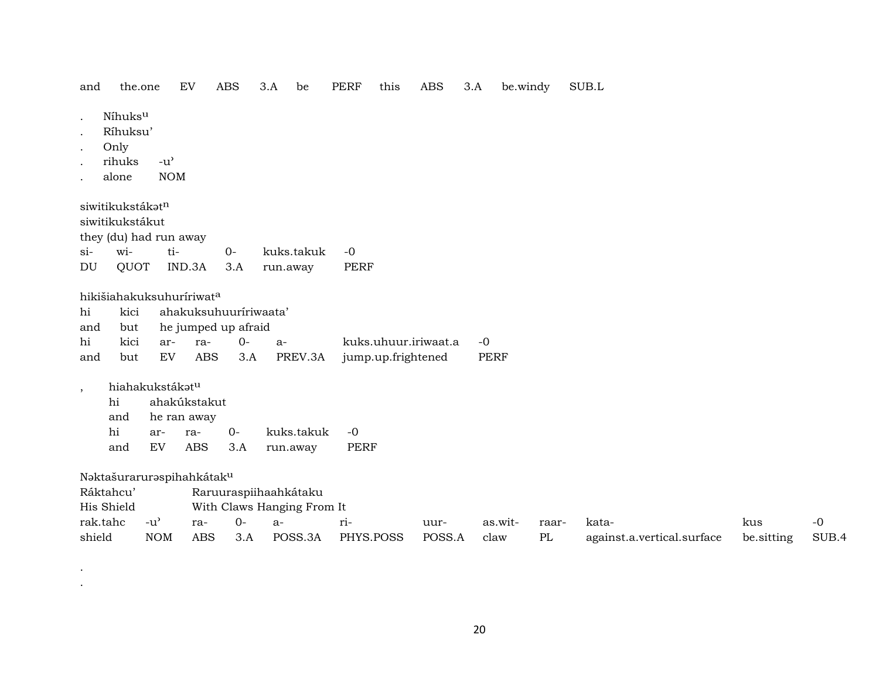the.one  $EV$ ABS 3.A be PERF this ABS  $3.A$ be.windy SUB.L and

- Níhuks<sup>u</sup>  $\sim$
- Ríhuksu'
- Only
- rihuks  $-u^{\prime}$  $\cdot$
- **NOM** alone

siwitikukstákatn siwitikukstákut they (du) had run away ti- $0$  $si$ wikuks.takuk  $-0$  $\mathop{\rm DU}\nolimits$ QUOT IND.3A  $3.A$ run.away PERF

hikišiahakuksuhuríriwata

|    |  | hi kici ahakuksuhuuririwaata' |  |                                                    |  |
|----|--|-------------------------------|--|----------------------------------------------------|--|
|    |  | and but he jumped up afraid   |  |                                                    |  |
| hi |  | kici ar- ra- 0- a-            |  | kuks.uhuur.iriwaat.a -0                            |  |
|    |  |                               |  | and but EV ABS 3.A PREV.3A jump.up.frightened PERF |  |

hiahakukstákatu  $\overline{\phantom{a}}$ 

|     | hi ahakúkstakut |                 |  |                          |  |  |  |  |  |
|-----|-----------------|-----------------|--|--------------------------|--|--|--|--|--|
|     |                 | and he ran away |  |                          |  |  |  |  |  |
|     |                 |                 |  |                          |  |  |  |  |  |
| and |                 |                 |  | EV ABS 3.A run.away PERF |  |  |  |  |  |

Naktašuraruraspihahkátaku

| Ráktahcu'  |            |     | Raruuraspiihaahkátaku |                            |           |        |         |       |                            |            |       |  |  |  |  |
|------------|------------|-----|-----------------------|----------------------------|-----------|--------|---------|-------|----------------------------|------------|-------|--|--|--|--|
| His Shield |            |     |                       | With Claws Hanging From It |           |        |         |       |                            |            |       |  |  |  |  |
| rak.tahc   | -u'        | ra- | $($ ) –               | $a -$                      |           | uur-   | as.wit- | raar- | kata-                      | kus        | $-()$ |  |  |  |  |
| shield     | <b>NOM</b> | ABS | 3.A                   | POSS.3A                    | PHYS.POSS | POSS.A | claw    | PL    | against.a.vertical.surface | be.sitting | SUB.4 |  |  |  |  |

 $\bullet$  $\bullet$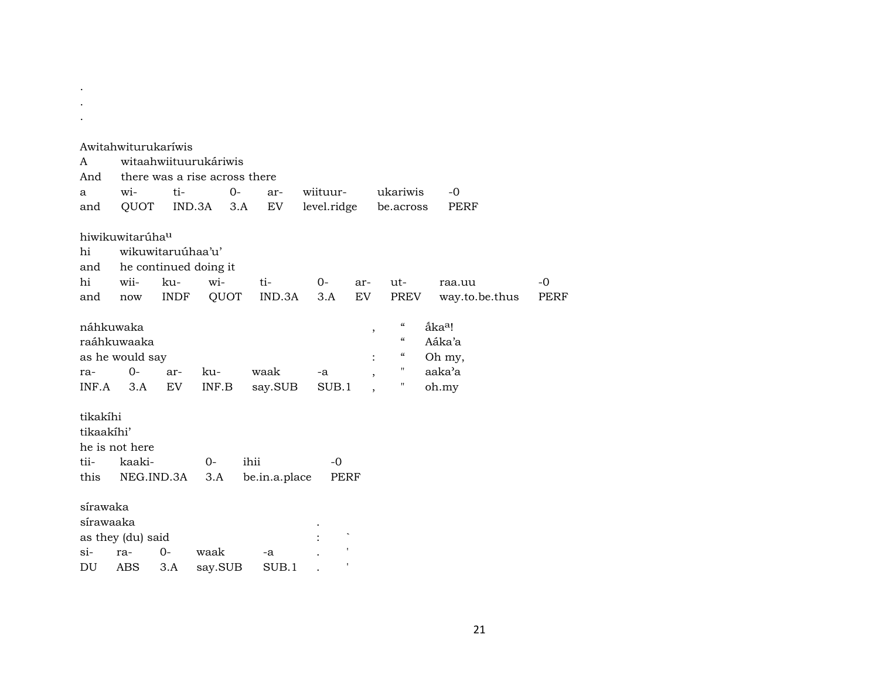|            | Awitahwiturukaríwis         |                   |                               |               |             |               |                            |                    |                |             |
|------------|-----------------------------|-------------------|-------------------------------|---------------|-------------|---------------|----------------------------|--------------------|----------------|-------------|
| A          |                             |                   | witaahwiituurukáriwis         |               |             |               |                            |                    |                |             |
| And        |                             |                   | there was a rise across there |               |             |               |                            |                    |                |             |
| a          | wi-                         | ti-               |                               | $0-$<br>ar-   | wiituur-    |               | ukariwis                   |                    | $-0$           |             |
| and        | QUOT                        |                   | IND.3A                        | EV<br>3.A     | level.ridge |               | be.across                  |                    | PERF           |             |
|            | hiwikuwitarúha <sup>u</sup> |                   |                               |               |             |               |                            |                    |                |             |
| hi         |                             | wikuwitaruúhaa'u' |                               |               |             |               |                            |                    |                |             |
| and        |                             |                   | he continued doing it         |               |             |               |                            |                    |                |             |
| hi         | wii-                        | ku-               | wi-                           | ti-           | $0-$        | ar-           | $ut -$                     |                    | raa.uu         | -0          |
| and        | now                         | <b>INDF</b>       | QUOT                          | IND.3A        | 3.A         | EV            | PREV                       |                    | way.to.be.thus | <b>PERF</b> |
|            | náhkuwaka                   |                   |                               |               |             | $^\mathrm{,}$ | $\mathcal{C}$              | åka <sup>a</sup> ! |                |             |
|            | raáhkuwaaka                 |                   |                               |               |             |               | $\boldsymbol{\mathcal{C}}$ | Aáka'a             |                |             |
|            | as he would say             |                   |                               |               |             |               | $\epsilon\epsilon$         | Oh my,             |                |             |
| ra-        | $0 -$                       | ar-               | ku-                           | waak          | -a          |               |                            | aaka'a             |                |             |
|            | $INF.A$ 3.A                 | EV                | INF.B                         | say.SUB       | SUB.1       |               | 11                         | oh.my              |                |             |
| tikakíhi   |                             |                   |                               |               |             |               |                            |                    |                |             |
| tikaakihi' |                             |                   |                               |               |             |               |                            |                    |                |             |
|            | he is not here              |                   |                               |               |             |               |                            |                    |                |             |
| tii-       | kaaki-                      |                   | $0-$                          | ihii          | $-0$        |               |                            |                    |                |             |
| this       |                             | NEG.IND.3A        | 3.A                           | be.in.a.place | PERF        |               |                            |                    |                |             |
| sírawaka   |                             |                   |                               |               |             |               |                            |                    |                |             |
| sírawaaka  |                             |                   |                               |               |             |               |                            |                    |                |             |
|            | as they (du) said           |                   |                               |               |             |               |                            |                    |                |             |
| $\sin$     | ra-                         | $0 -$             | waak                          | $-a$          |             |               |                            |                    |                |             |
| DU         | <b>ABS</b>                  | 3.A               | say.SUB                       | SUB.1         |             |               |                            |                    |                |             |

. .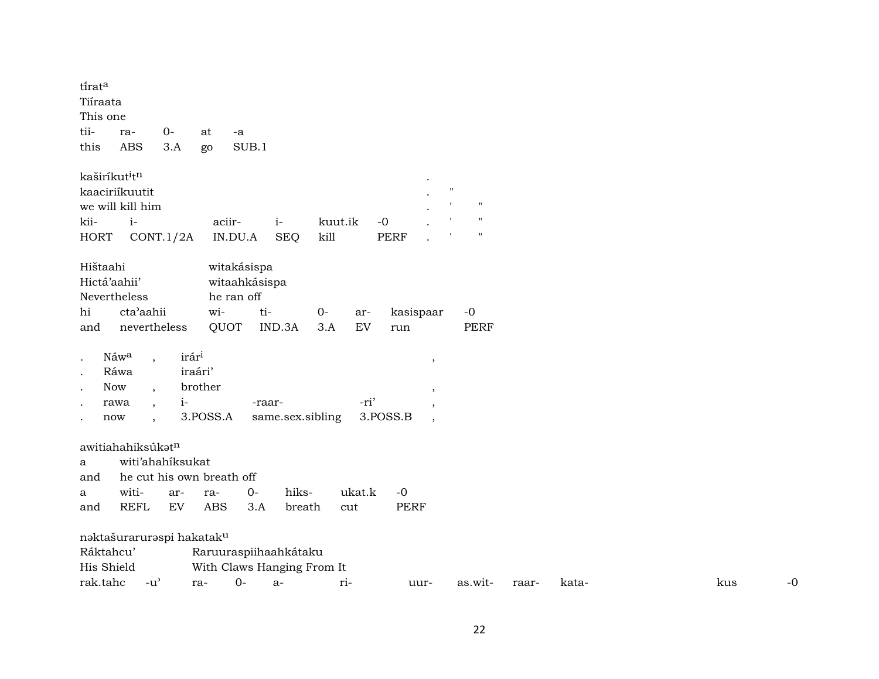| tirata<br>Tiíraata<br>This one        |                                       |                   |            |               |                            |             |             |                          |                    |       |       |  |     |      |
|---------------------------------------|---------------------------------------|-------------------|------------|---------------|----------------------------|-------------|-------------|--------------------------|--------------------|-------|-------|--|-----|------|
| tii-                                  | ra-                                   | 0-                | at         | -a            |                            |             |             |                          |                    |       |       |  |     |      |
| this                                  | <b>ABS</b>                            | 3.A               | go         | SUB.1         |                            |             |             |                          |                    |       |       |  |     |      |
| kaširíkut <sup>i</sup> t <sup>n</sup> |                                       |                   |            |               |                            |             |             |                          |                    |       |       |  |     |      |
| kaaciriíkuutit                        |                                       |                   |            |               |                            |             |             | $\mathbf{H}$             |                    |       |       |  |     |      |
|                                       | we will kill him                      |                   |            |               |                            |             |             |                          | $^{\prime}$        |       |       |  |     |      |
| kii-                                  | $i-$                                  |                   |            | aciir-        | $i-$                       | kuut.ik     | $-0$        |                          | $\pmb{\mathsf{H}}$ |       |       |  |     |      |
| <b>HORT</b>                           |                                       | CONT.1/2A         |            | IN.DU.A       | <b>SEQ</b>                 | kill        | <b>PERF</b> |                          | $\pmb{\mathsf{H}}$ |       |       |  |     |      |
| Hištaahi                              |                                       |                   |            | witakásispa   |                            |             |             |                          |                    |       |       |  |     |      |
| Hictá'aahii'                          |                                       |                   |            | witaahkásispa |                            |             |             |                          |                    |       |       |  |     |      |
| Nevertheless                          |                                       |                   |            | he ran off    |                            |             |             |                          |                    |       |       |  |     |      |
| hi                                    | cta'aahii                             |                   | wi-        |               | ti-                        | $0-$<br>ar- | kasispaar   |                          | $-0$               |       |       |  |     |      |
| and                                   | nevertheless                          |                   | QUOT       |               | IND.3A                     | EV<br>3.A   | run         |                          | <b>PERF</b>        |       |       |  |     |      |
| Náwa                                  |                                       | irár <sup>i</sup> |            |               |                            |             |             |                          |                    |       |       |  |     |      |
| $\bullet$<br>$\bullet$                | $\overline{ }$ ,<br>Ráwa              |                   | iraári'    |               |                            |             |             | $^\mathrm{,}$            |                    |       |       |  |     |      |
| Now<br>$\bullet$                      |                                       |                   | brother    |               |                            |             |             |                          |                    |       |       |  |     |      |
| rawa                                  | $\ddot{\phantom{1}}$                  | $i-$              |            |               | -raar-                     | -ri'        |             | ,<br>$\,$                |                    |       |       |  |     |      |
| now                                   |                                       |                   | 3.POSS.A   |               | same.sex.sibling           |             | 3.POSS.B    | $\overline{\phantom{a}}$ |                    |       |       |  |     |      |
|                                       |                                       |                   |            |               |                            |             |             |                          |                    |       |       |  |     |      |
|                                       | awitiahahiksúkatn                     |                   |            |               |                            |             |             |                          |                    |       |       |  |     |      |
| a                                     | witi'ahahiksukat                      |                   |            |               |                            |             |             |                          |                    |       |       |  |     |      |
| and                                   | he cut his own breath off             |                   |            |               |                            |             |             |                          |                    |       |       |  |     |      |
| a                                     | witi-                                 | ar-               | ra-        | $O -$         | hiks-                      | ukat.k      | $-0$        |                          |                    |       |       |  |     |      |
| and                                   | <b>REFL</b>                           | EV                | <b>ABS</b> | 3.A           | breath                     | cut         | <b>PERF</b> |                          |                    |       |       |  |     |      |
|                                       | naktašuraruraspi hakatak <sup>u</sup> |                   |            |               |                            |             |             |                          |                    |       |       |  |     |      |
| Ráktahcu'                             |                                       |                   |            |               | Raruuraspiihaahkátaku      |             |             |                          |                    |       |       |  |     |      |
| His Shield                            |                                       |                   |            |               | With Claws Hanging From It |             |             |                          |                    |       |       |  |     |      |
| rak.tahc                              | $-u^{\prime}$                         |                   | ra-        | $0-$          | $a-$                       | ri-         | uur-        |                          | as.wit-            | raar- | kata- |  | kus | $-0$ |